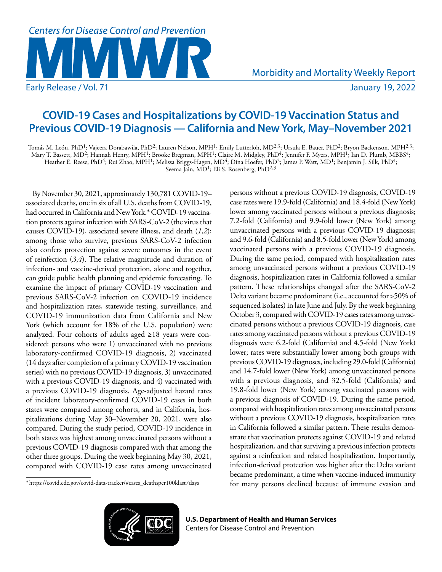# **Centers for Disease Control and Prevention** Early Release / Vol. 71 **Figure 2022** 3 and 2022

Morbidity and Mortality Weekly Report

# **COVID-19 Cases and Hospitalizations by COVID-19 Vaccination Status and Previous COVID-19 Diagnosis — California and New York, May–November 2021**

Tomás M. León, PhD<sup>1</sup>; Vajeera Dorabawila, PhD<sup>2</sup>; Lauren Nelson, MPH<sup>1</sup>; Emily Lutterloh, MD<sup>2,3</sup>; Ursula E. Bauer, PhD<sup>2</sup>; Bryon Backenson, MPH<sup>2,3</sup>; Mary T. Bassett, MD<sup>2</sup>; Hannah Henry, MPH<sup>1</sup>; Brooke Bregman, MPH<sup>1</sup>; Claire M. Midgley, PhD<sup>4</sup>; Jennifer F. Myers, MPH<sup>1</sup>; Ian D. Plumb, MBBS<sup>4</sup>; Heather E. Reese, PhD4; Rui Zhao, MPH1; Melissa Briggs-Hagen, MD4; Dina Hoefer, PhD2; James P. Watt, MD1; Benjamin J. Silk, PhD4; Seema Jain, MD<sup>1</sup>; Eli S. Rosenberg, PhD<sup>2,3</sup>

By November 30, 2021, approximately 130,781 COVID-19– associated deaths, one in six of all U.S. deaths from COVID-19, had occurred in California and New York.\* COVID-19 vaccination protects against infection with SARS-CoV-2 (the virus that causes COVID-19), associated severe illness, and death (*1*,*2*); among those who survive, previous SARS-CoV-2 infection also confers protection against severe outcomes in the event of reinfection (*3*,*4*). The relative magnitude and duration of infection- and vaccine-derived protection, alone and together, can guide public health planning and epidemic forecasting. To examine the impact of primary COVID-19 vaccination and previous SARS-CoV-2 infection on COVID-19 incidence and hospitalization rates, statewide testing, surveillance, and COVID-19 immunization data from California and New York (which account for 18% of the U.S. population) were analyzed. Four cohorts of adults aged ≥18 years were considered: persons who were 1) unvaccinated with no previous laboratory-confirmed COVID-19 diagnosis, 2) vaccinated (14 days after completion of a primary COVID-19 vaccination series) with no previous COVID-19 diagnosis, 3) unvaccinated with a previous COVID-19 diagnosis, and 4) vaccinated with a previous COVID-19 diagnosis. Age-adjusted hazard rates of incident laboratory-confirmed COVID-19 cases in both states were compared among cohorts, and in California, hospitalizations during May 30–November 20, 2021, were also compared. During the study period, COVID-19 incidence in both states was highest among unvaccinated persons without a previous COVID-19 diagnosis compared with that among the other three groups. During the week beginning May 30, 2021, compared with COVID-19 case rates among unvaccinated

persons without a previous COVID-19 diagnosis, COVID-19 case rates were 19.9-fold (California) and 18.4-fold (New York) lower among vaccinated persons without a previous diagnosis; 7.2-fold (California) and 9.9-fold lower (New York) among unvaccinated persons with a previous COVID-19 diagnosis; and 9.6-fold (California) and 8.5-fold lower (New York) among vaccinated persons with a previous COVID-19 diagnosis. During the same period, compared with hospitalization rates among unvaccinated persons without a previous COVID-19 diagnosis, hospitalization rates in California followed a similar pattern. These relationships changed after the SARS-CoV-2 Delta variant became predominant (i.e., accounted for >50% of sequenced isolates) in late June and July. By the week beginning October 3, compared with COVID-19 cases rates among unvaccinated persons without a previous COVID-19 diagnosis, case rates among vaccinated persons without a previous COVID-19 diagnosis were 6.2-fold (California) and 4.5-fold (New York) lower; rates were substantially lower among both groups with previous COVID-19 diagnoses, including 29.0-fold (California) and 14.7-fold lower (New York) among unvaccinated persons with a previous diagnosis, and 32.5-fold (California) and 19.8-fold lower (New York) among vaccinated persons with a previous diagnosis of COVID-19. During the same period, compared with hospitalization rates among unvaccinated persons without a previous COVID-19 diagnosis, hospitalization rates in California followed a similar pattern. These results demonstrate that vaccination protects against COVID-19 and related hospitalization, and that surviving a previous infection protects against a reinfection and related hospitalization. Importantly, infection-derived protection was higher after the Delta variant became predominant, a time when vaccine-induced immunity for many persons declined because of immune evasion and

<sup>\*</sup> [https://covid.cdc.gov/covid-data-tracker/#cases\\_deathsper100klast7days](https://covid.cdc.gov/covid-data-tracker/#cases_deathsper100klast7days)

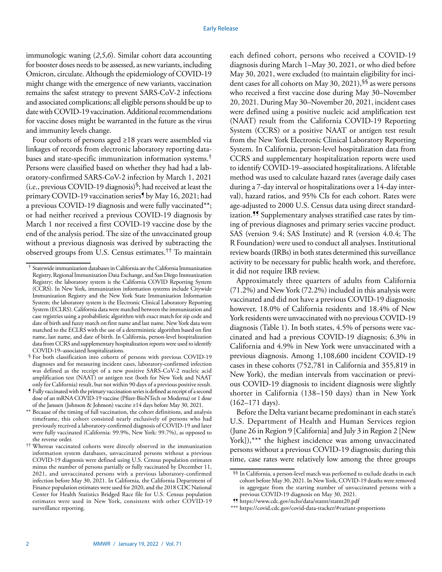immunologic waning (*2*,*5*,*6*). Similar cohort data accounting for booster doses needs to be assessed, as new variants, including Omicron, circulate. Although the epidemiology of COVID-19 might change with the emergence of new variants, vaccination remains the safest strategy to prevent SARS-CoV-2 infections and associated complications; all eligible persons should be up to date with COVID-19 vaccination. Additional recommendations for vaccine doses might be warranted in the future as the virus and immunity levels change.

Four cohorts of persons aged ≥18 years were assembled via linkages of records from electronic laboratory reporting databases and state-specific immunization information systems.† Persons were classified based on whether they had had a laboratory-confirmed SARS-CoV-2 infection by March 1, 2021 (i.e., previous COVID-19 diagnosis)§; had received at least the primary COVID-19 vaccination series¶ by May 16, 2021; had a previous COVID-19 diagnosis and were fully vaccinated\*\*; or had neither received a previous COVID-19 diagnosis by March 1 nor received a first COVID-19 vaccine dose by the end of the analysis period. The size of the unvaccinated group without a previous diagnosis was derived by subtracting the observed groups from U.S. Census estimates.†† To maintain each defined cohort, persons who received a COVID-19 diagnosis during March 1–May 30, 2021, or who died before May 30, 2021, were excluded (to maintain eligibility for incident cases for all cohorts on May 30, 2021), SS as were persons who received a first vaccine dose during May 30–November 20, 2021. During May 30–November 20, 2021, incident cases were defined using a positive nucleic acid amplification test (NAAT) result from the California COVID-19 Reporting System (CCRS) or a positive NAAT or antigen test result from the New York Electronic Clinical Laboratory Reporting System. In California, person-level hospitalization data from CCRS and supplementary hospitalization reports were used to identify COVID-19–associated hospitalizations. A lifetable method was used to calculate hazard rates (average daily cases during a 7-day interval or hospitalizations over a 14-day interval), hazard ratios, and 95% CIs for each cohort. Rates were age-adjusted to 2000 U.S. Census data using direct standardization.<sup>99</sup> Supplementary analyses stratified case rates by timing of previous diagnoses and primary series vaccine product. SAS (version 9.4; SAS Institute) and R (version 4.0.4; The R Foundation) were used to conduct all analyses. Institutional review boards (IRBs) in both states determined this surveillance activity to be necessary for public health work, and therefore, it did not require IRB review.

Approximately three quarters of adults from California (71.2%) and New York (72.2%) included in this analysis were vaccinated and did not have a previous COVID-19 diagnosis; however, 18.0% of California residents and 18.4% of New York residents were unvaccinated with no previous COVID-19 diagnosis (Table 1). In both states, 4.5% of persons were vaccinated and had a previous COVID-19 diagnosis; 6.3% in California and 4.9% in New York were unvaccinated with a previous diagnosis. Among 1,108,600 incident COVID-19 cases in these cohorts (752,781 in California and 355,819 in New York), the median intervals from vaccination or previous COVID-19 diagnosis to incident diagnosis were slightly shorter in California (138–150 days) than in New York (162–171 days).

Before the Delta variant became predominant in each state's U.S. Department of Health and Human Services region (June 26 in Region 9 [California] and July 3 in Region 2 [New York]),\*\*\* the highest incidence was among unvaccinated persons without a previous COVID-19 diagnosis; during this time, case rates were relatively low among the three groups

\*\*\* <https://covid.cdc.gov/covid-data-tracker/#variant-proportions>

<sup>†</sup> Statewide immunization databases in California are the California Immunization Registry, Regional Immunization Data Exchange, and San Diego Immunization Registry; the laboratory system is the California COVID Reporting System (CCRS). In New York, immunization information systems include Citywide Immunization Registry and the New York State Immunization Information System; the laboratory system is the Electronic Clinical Laboratory Reporting System (ECLRS). California data were matched between the immunization and case registries using a probabilistic algorithm with exact match for zip code and date of birth and fuzzy match on first name and last name. New York data were matched to the ECLRS with the use of a deterministic algorithm based on first name, last name, and date of birth. In California, person-level hospitalization data from CCRS and supplementary hospitalization reports were used to identify COVID-19–associated hospitalizations.

<sup>§</sup> For both classification into cohorts of persons with previous COVID-19 diagnoses and for measuring incident cases, laboratory-confirmed infection was defined as the receipt of a new positive SARS-CoV-2 nucleic acid amplification test (NAAT) or antigen test (both for New York and NAAT only for California) result, but not within 90 days of a previous positive result.

<sup>¶</sup> Fully vaccinated with the primary vaccination series is defined as receipt of a second dose of an mRNA COVID-19 vaccine (Pfizer-BioNTech or Moderna) or 1 dose of the Janssen (Johnson & Johnson) vaccine ≥14 days before May 30, 2021.

Because of the timing of full vaccination, the cohort definitions, and analysis timeframe, this cohort consisted nearly exclusively of persons who had previously received a laboratory-confirmed diagnosis of COVID-19 and later were fully vaccinated (California: 99.9%, New York: 99.7%), as opposed to the reverse order.

<sup>††</sup> Whereas vaccinated cohorts were directly observed in the immunization information system databases, unvaccinated persons without a previous COVID-19 diagnosis were defined using U.S. Census population estimates minus the number of persons partially or fully vaccinated by December 11, 2021, and unvaccinated persons with a previous laboratory-confirmed infection before May 30, 2021. In California, the California Department of Finance population estimates were used for 2020, and the 2018 CDC National Center for Health Statistics Bridged Race file for U.S. Census population estimates were used in New York, consistent with other COVID-19 surveillance reporting.

 $\$ In California, a person-level match was performed to exclude deaths in each cohort before May 30, 2021. In New York, COVID-19 deaths were removed in aggregate from the starting number of unvaccinated persons with a previous COVID-19 diagnosis on May 30, 2021.

<sup>¶¶</sup> <https://www.cdc.gov/nchs/data/statnt/statnt20.pdf>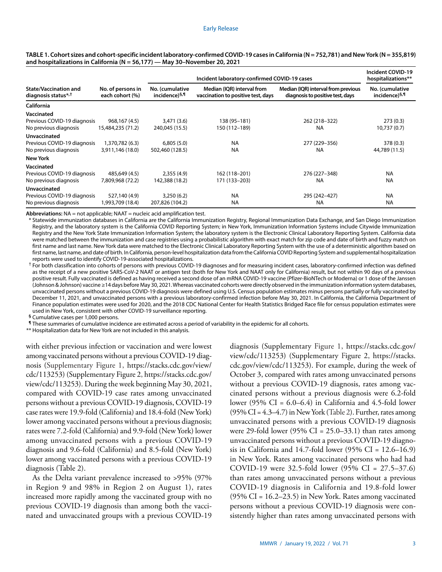|                                                                 |                                      | Incident laboratory-confirmed COVID-19 cases | Incident COVID-19<br>hospitalizations**                          |                                                                         |                                              |
|-----------------------------------------------------------------|--------------------------------------|----------------------------------------------|------------------------------------------------------------------|-------------------------------------------------------------------------|----------------------------------------------|
| <b>State/Vaccination and</b><br>diagnosis status* <sup>,†</sup> | No. of persons in<br>each cohort (%) | No. (cumulative<br>incidence) <sup>§,¶</sup> | Median (IQR) interval from<br>vaccination to positive test, days | Median (IQR) interval from previous<br>diagnosis to positive test, days | No. (cumulative<br>incidence) <sup>§,¶</sup> |
| California                                                      |                                      |                                              |                                                                  |                                                                         |                                              |
| Vaccinated                                                      |                                      |                                              |                                                                  |                                                                         |                                              |
| Previous COVID-19 diagnosis                                     | 968,167 (4.5)                        | 3,471 (3.6)                                  | 138 (95-181)                                                     | 262 (218-322)                                                           | 273(0.3)                                     |
| No previous diagnosis                                           | 15,484,235 (71.2)                    | 240,045 (15.5)                               | 150 (112-189)                                                    | <b>NA</b>                                                               | 10,737 (0.7)                                 |
| Unvaccinated                                                    |                                      |                                              |                                                                  |                                                                         |                                              |
| Previous COVID-19 diagnosis                                     | 1,370,782 (6.3)                      | 6,805(5.0)                                   | <b>NA</b>                                                        | 277 (229-356)                                                           | 378 (0.3)                                    |
| No previous diagnosis                                           | 3,911,146 (18.0)                     | 502,460 (128.5)                              | <b>NA</b>                                                        | <b>NA</b>                                                               | 44,789 (11.5)                                |
| <b>New York</b>                                                 |                                      |                                              |                                                                  |                                                                         |                                              |
| Vaccinated                                                      |                                      |                                              |                                                                  |                                                                         |                                              |
| Previous COVID-19 diagnosis                                     | 485,649 (4.5)                        | 2,355(4.9)                                   | 162 (118-201)                                                    | 276 (227-348)                                                           | <b>NA</b>                                    |
| No previous diagnosis                                           | 7,809,968 (72.2)                     | 142,388 (18.2)                               | 171 (133-203)                                                    | <b>NA</b>                                                               | <b>NA</b>                                    |
| Unvaccinated                                                    |                                      |                                              |                                                                  |                                                                         |                                              |
| Previous COVID-19 diagnosis                                     | 527,140 (4.9)                        | 3,250(6.2)                                   | <b>NA</b>                                                        | 295 (242-427)                                                           | <b>NA</b>                                    |
| No previous diagnosis                                           | (18.4) 993,709.                      | 207,826 (104.2)                              | <b>NA</b>                                                        | <b>NA</b>                                                               | <b>NA</b>                                    |

TABLE 1. Cohort sizes and cohort-specific incident laboratory-confirmed COVID-19 cases in California (N = 752,781) and New York (N = 355,819) **and hospitalizations in California (N = 56,177) — May 30–November 20, 2021**

**Abbreviations:** NA = not applicable; NAAT = nucleic acid amplification test.

\* Statewide immunization databases in California are the California Immunization Registry, Regional Immunization Data Exchange, and San Diego Immunization Registry, and the laboratory system is the California COVID Reporting System; in New York, Immunization Information Systems include Citywide Immunization Registry and the New York State Immunization Information System; the laboratory system is the Electronic Clinical Laboratory Reporting System. California data were matched between the immunization and case registries using a probabilistic algorithm with exact match for zip code and date of birth and fuzzy match on first name and last name. New York data were matched to the Electronic Clinical Laboratory Reporting System with the use of a deterministic algorithm based on first name, last name, and date of birth. In California, person-level hospitalization data from the California COVID Reporting System and supplemental hospitalization reports were used to identify COVID-19-associated hospitalizations.

 $^\dagger$  For both classification into cohorts of persons with previous COVID-19 diagnoses and for measuring incident cases, laboratory-confirmed infection was defined as the receipt of a new positive SARS-CoV-2 NAAT or antigen test (both for New York and NAAT only for California) result, but not within 90 days of a previous positive result. Fully vaccinated is defined as having received a second dose of an mRNA COVID-19 vaccine (Pfizer-BioNTech or Moderna) or 1 dose of the Janssen (Johnson & Johnson) vaccine ≥14 days before May 30, 2021. Whereas vaccinated cohorts were directly observed in the immunization information system databases, unvaccinated persons without a previous COVID-19 diagnosis were defined using U.S. Census population estimates minus persons partially or fully vaccinated by December 11, 2021, and unvaccinated persons with a previous laboratory-confirmed infection before May 30, 2021. In California, the California Department of Finance population estimates were used for 2020, and the 2018 CDC National Center for Health Statistics Bridged Race file for census population estimates were used in New York, consistent with other COVID-19 surveillance reporting.

**§** Cumulative cases per 1,000 persons.

**¶** These summaries of cumulative incidence are estimated across a period of variability in the epidemic for all cohorts.

\*\* Hospitalization data for New York are not included in this analysis.

with either previous infection or vaccination and were lowest among vaccinated persons without a previous COVID-19 diagnosis (Supplementary Figure 1, [https://stacks.cdc.gov/view/](https://stacks.cdc.gov/view/cdc/113253) [cdc/113253\)](https://stacks.cdc.gov/view/cdc/113253) (Supplementary Figure 2, [https://stacks.cdc.gov/](https://stacks.cdc.gov/view/cdc/113253) [view/cdc/113253\)](https://stacks.cdc.gov/view/cdc/113253). During the week beginning May 30, 2021, compared with COVID-19 case rates among unvaccinated persons without a previous COVID-19 diagnosis, COVID-19 case rates were 19.9-fold (California) and 18.4-fold (New York) lower among vaccinated persons without a previous diagnosis; rates were 7.2-fold (California) and 9.9-fold (New York) lower among unvaccinated persons with a previous COVID-19 diagnosis and 9.6-fold (California) and 8.5-fold (New York) lower among vaccinated persons with a previous COVID-19 diagnosis (Table 2).

As the Delta variant prevalence increased to >95% (97% in Region 9 and 98% in Region 2 on August 1), rates increased more rapidly among the vaccinated group with no previous COVID-19 diagnosis than among both the vaccinated and unvaccinated groups with a previous COVID-19 diagnosis (Supplementary Figure 1, [https://stacks.cdc.gov/](https://stacks.cdc.gov/view/cdc/113253) [view/cdc/113253\)](https://stacks.cdc.gov/view/cdc/113253) (Supplementary Figure 2, [https://stacks.](https://stacks.cdc.gov/view/cdc/113253) [cdc.gov/view/cdc/113253](https://stacks.cdc.gov/view/cdc/113253)). For example, during the week of October 3, compared with rates among unvaccinated persons without a previous COVID-19 diagnosis, rates among vaccinated persons without a previous diagnosis were 6.2-fold lower (95% CI =  $6.0-6.4$ ) in California and 4.5-fold lower  $(95\% \text{ CI} = 4.3-4.7)$  in New York (Table 2). Further, rates among unvaccinated persons with a previous COVID-19 diagnosis were 29-fold lower (95% CI =  $25.0-33.1$ ) than rates among unvaccinated persons without a previous COVID-19 diagnosis in California and 14.7-fold lower  $(95\% \text{ CI} = 12.6{\text -}16.9)$ in New York. Rates among vaccinated persons who had had COVID-19 were 32.5-fold lower (95% CI = 27.5–37.6) than rates among unvaccinated persons without a previous COVID-19 diagnosis in California and 19.8-fold lower (95% CI = 16.2–23.5) in New York. Rates among vaccinated persons without a previous COVID-19 diagnosis were consistently higher than rates among unvaccinated persons with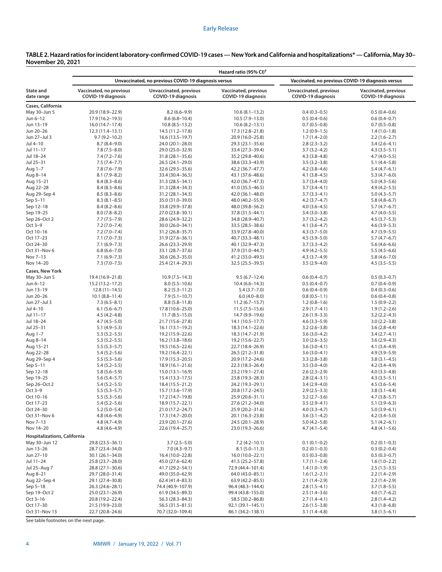| Unvaccinated, no previous COVID-19 diagnosis versus<br>Vaccinated, no previous COVID-19 diagnosis versus<br>Vaccinated, no previous<br>Unvaccinated, previous<br>Vaccinated, previous<br>Unvaccinated, previous<br>Vaccinated, previous<br><b>COVID-19 diagnosis</b><br>COVID-19 diagnosis<br><b>COVID-19 diagnosis</b><br><b>COVID-19 diagnosis</b><br><b>COVID-19 diagnosis</b><br>20.9 (18.9-22.9)<br>$8.2(6.6-9.9)$<br>$10.6(8.1 - 13.2)$<br>$0.4(0.3-0.5)$<br>$0.5(0.4-0.6)$<br>17.9 (16.2-19.5)<br>$8.6(6.8-10.4)$<br>$10.5(7.9 - 13.0)$<br>$0.5(0.4-0.6)$<br>$0.6(0.4-0.7)$<br>16.0 (14.7-17.4)<br>$10.8(8.5-13.2)$<br>$10.6(8.2 - 13.1)$<br>$0.7(0.5-0.8)$<br>$0.7(0.5-0.8)$<br>$12.3(11.4-13.1)$<br>14.5 (11.2-17.8)<br>17.3 (12.8-21.8)<br>$1.2(0.9-1.5)$<br>$1.4(1.0-1.8)$<br>$9.7(9.2 - 10.2)$<br>$16.6(13.5 - 19.7)$<br>20.9 (16.0-25.8)<br>$1.7(1.4-2.0)$<br>$2.2(1.6-2.7)$<br>$8.7(8.4 - 9.0)$<br>24.0 (20.1-28.0)<br>29.3 (23.1-35.6)<br>$2.8(2.3-3.2)$<br>$3.4(2.6-4.1)$<br>$7.8(7.5 - 8.0)$<br>29.0 (25.0-32.9)<br>33.4 (27.3-39.4)<br>$3.7(3.2 - 4.2)$<br>$4.3(3.5-5.1)$<br>Jul 18–24<br>$7.4(7.2 - 7.6)$<br>31.8 (28.1-35.6)<br>35.2 (29.8-40.6)<br>$4.3(3.8-4.8)$<br>$4.7(4.0-5.5)$<br>Jul 25-31<br>$7.5(7.4 - 7.7)$<br>$26.5(24.1-29.0)$<br>38.6 (33.3-43.9)<br>$3.5(3.2 - 3.8)$<br>$5.1(4.4 - 5.8)$<br>Aug 1–7<br>$7.8(7.6 - 7.9)$<br>32.6 (29.5 - 35.6)<br>42.2 (36.7-47.7)<br>$4.2(3.8-4.6)$<br>$5.4(4.7-6.1)$<br>Aug 8–14<br>$8.1(7.9 - 8.2)$<br>33.4 (30.4 - 36.5)<br>43.1 (37.6-48.6)<br>$4.1(3.8-4.5)$<br>$5.3(4.7-6.0)$<br>Aug 15–21<br>$8.4(8.3 - 8.6)$<br>31.3 (28.5 - 34.1)<br>42.0 (36.7-47.3)<br>$3.7(3.4 - 4.0)$<br>$5.0(4.3-5.6)$<br>Aug 22-28<br>$8.4(8.3 - 8.6)$<br>31.3 (28.4-34.3)<br>41.0 (35.5-46.5)<br>$3.7(3.4-4.1)$<br>$4.9(4.2 - 5.5)$<br>Aug 29–Sep 4<br>$8.5(8.3 - 8.6)$<br>$31.2(28.1 - 34.3)$<br>42.0 (36.1-48.0)<br>$3.7(3.3-4.1)$<br>$5.0(4.3-5.7)$<br>Sep 5-11<br>$8.3(8.1 - 8.5)$<br>35.0 (31.0-39.0)<br>48.0 (40.2-55.9)<br>$4.2(3.7-4.7)$<br>$5.8(4.8-6.7)$<br>Sep 12-18<br>$8.4(8.2 - 8.6)$<br>33.8 (29.9 - 37.8)<br>48.0 (39.8-56.2)<br>$4.0(3.6-4.5)$<br>$5.7(4.7-6.7)$<br>Sep 19-25<br>$8.0(7.8 - 8.2)$<br>27.0 (23.8-30.1)<br>37.8 (31.5-44.1)<br>$3.4(3.0-3.8)$<br>$4.7(4.0-5.5)$<br>Sep 26-Oct 2<br>$7.7(7.5 - 7.9)$<br>28.6 (24.9-32.2)<br>34.8 (28.9-40.7)<br>$3.7(3.2 - 4.2)$<br>$4.5(3.7-5.3)$<br>Oct 3–9<br>$7.2(7.0 - 7.4)$<br>30.0 (26.0-34.1)<br>33.5 (28.5 - 38.6)<br>$4.1(3.6-4.7)$<br>$4.6(3.9 - 5.3)$<br>Oct 10-16<br>$7.2(7.0 - 7.4)$<br>31.2 (26.8-35.7)<br>33.9 (27.8-40.0)<br>$4.3(3.7-5.0)$<br>$4.7(3.9 - 5.5)$<br>Oct 17-23<br>$7.1(7.0 - 7.3)$<br>31.9 (27.6-36.1)<br>40.7 (33.3-48.1)<br>$4.5(3.9 - 5.0)$<br>$5.7(4.7-6.7)$<br>Oct 24-30<br>$7.1(6.9 - 7.3)$<br>26.6 (23.3-29.9)<br>40.1 (32.9-47.3)<br>$3.7(3.3-4.2)$<br>$5.6(4.6-6.6)$<br>Oct 31-Nov 6<br>$6.8(6.6 - 7.0)$<br>33.1 (28.7-37.6)<br>37.9 (31.0-44.7)<br>$4.9(4.2 - 5.5)$<br>$5.5(4.5-6.6)$<br>Nov 7-13<br>$7.1(6.9 - 7.3)$<br>$30.6(26.3 - 35.0)$<br>41.2 (33.0-49.5)<br>$4.3(3.7-4.9)$<br>$5.8(4.6 - 7.0)$<br>Nov 14-20<br>$7.3(7.0 - 7.5)$<br>25.4 (21.4-29.3)<br>32.5 (25.5-39.5)<br>$3.5(2.9 - 4.0)$<br>$4.5(3.5-5.5)$<br>Cases, New York<br>19.4 (16.9-21.8)<br>$10.9(7.5-14.3)$<br>$9.5(6.7-12.4)$<br>$0.6(0.4-0.7)$<br>$0.5(0.3-0.7)$<br>15.2 (13.2-17.2)<br>$8.0(5.5-10.6)$<br>$10.4(6.6 - 14.3)$<br>$0.5(0.4-0.7)$<br>$0.7(0.4-0.9)$<br>$8.2(5.3 - 11.2)$<br>$0.6(0.4-0.9)$<br>$0.4(0.3-0.6)$<br>$12.8(11-14.5)$<br>$5.4(3.7 - 7.0)$<br>$10.1 (8.8 - 11.4)$<br>$7.9(5.1 - 10.7)$<br>$6.0(4.0 - 8.0)$<br>$0.8(0.5-1.1)$<br>$0.6(0.4-0.8)$<br>$7.3(6.5-8.1)$<br>$8.8(5.8 - 11.8)$<br>$11.2(6.7-15.7)$<br>$1.2(0.8-1.6)$<br>$1.5(0.9-2.2)$<br>$6.1(5.6-6.7)$<br>17.8 (10.6-25.0)<br>$11.5(7.5-15.6)$<br>$2.9(1.7-4.1)$<br>$1.9(1.2 - 2.6)$<br>$4.5(4.2 - 4.8)$<br>$11.7(8.5 - 15.0)$<br>14.7 (9.9-19.6)<br>$2.6(1.9-3.3)$<br>$3.2(2.2 - 4.3)$<br>$4.7(4.5-5.0)$<br>21.7 (15.6-27.8)<br>$14.1(10.5-17.7)$<br>$4.6(3.3-5.9)$<br>$3.0(2.2 - 3.8)$<br>$5.1(4.9-5.3)$<br>$16.1(13.1-19.2)$<br>18.3 (14.1-22.6)<br>$3.2(2.6-3.8)$<br>$3.6(2.8-4.4)$<br>$5.3(5.2 - 5.5)$<br>19.2 (15.9-22.6)<br>18.3 (14.7-21.9)<br>$3.6(3.0-4.2)$<br>$3.4(2.7-4.1)$<br>Aug 8–14<br>$5.3(5.2 - 5.5)$<br>$16.2(13.8-18.6)$<br>19.2 (15.6-22.7)<br>$3.0(2.6-3.5)$<br>$3.6(2.9-4.3)$<br>$5.5(5.3-5.7)$<br>19.5 (16.5–22.6)<br>22.7 (18.4–26.9)<br>$3.6(3.0-4.1)$<br>$4.1(3.4-4.9)$<br>Aug 22-28<br>$5.4(5.2 - 5.6)$<br>$3.6(3.0-4.1)$<br>$4.9(3.9 - 5.9)$<br>19.2 (16.4–22.1)<br>26.5 (21.2–31.8)<br>$5.5(5.3-5.6)$<br>17.9 (15.3-20.5)<br>20.9 (17.2-24.6)<br>$3.3(2.8-3.8)$<br>$3.8(3.1 - 4.5)$<br>Sep 5-11<br>$5.4(5.2 - 5.5)$<br>$18.9(16.1 - 21.6)$<br>$22.3(18.3 - 26.4)$<br>$3.5(3.0-4.0)$<br>$4.2(3.4-4.9)$<br>Sep 12-18<br>$5.8(5.6 - 5.9)$<br>$15.0(13.1 - 16.9)$<br>23.2 (19.1-27.4)<br>$2.6(2.3-2.9)$<br>$4.0(3.3-4.8)$<br>Sep 19-25<br>$5.6(5.4 - 5.7)$<br>$2.8(2.4-3.1)$<br>$4.3(3.5-5.1)$<br>15.4 (13.3–17.5)<br>23.8 (19.3–28.3)<br>Sep 26-Oct 2<br>$5.4(5.2 - 5.5)$<br>18.4 (15.5 - 21.2)<br>24.2 (19.3-29.1)<br>$3.4(2.9 - 4.0)$<br>$4.5(3.6 - 5.4)$<br>Oct 3–9<br>$5.5(5.3-5.7)$<br>15.7 (13.6-17.9)<br>20.8 (17.2-24.5)<br>$2.9(2.5-3.3)$<br>$3.8(3.1 - 4.4)$<br>Oct 10-16<br>$5.5(5.3-5.6)$<br>17.2 (14.7-19.8)<br>25.9 (20.6-31.1)<br>$3.2(2.7-3.6)$<br>$4.7(3.8-5.7)$<br>Oct 17-23<br>$5.4(5.2 - 5.6)$<br>18.9 (15.7-22.1)<br>27.6 (21.2-34.0)<br>$3.5(2.9-4.1)$<br>$5.1(3.9-6.3)$<br>Oct 24-30<br>$5.2(5.0-5.4)$<br>21.0 (17.2–24.7)<br>25.9 (20.2–31.6)<br>$4.0(3.3-4.7)$<br>$5.0(3.9-6.1)$<br>Oct 31-Nov 6<br>$4.8(4.6-4.9)$<br>17.3 (14.7–20.0)<br>20.1 (16.3-23.8)<br>$3.6(3.1-4.2)$<br>$4.2(3.4 - 5.0)$<br>Nov 7-13<br>$4.8(4.7-4.9)$<br>23.9 (20.1-27.6)<br>24.5 (20.1-28.9)<br>$5.0(4.2 - 5.8)$<br>$5.1(4.2-6.1)$<br>Nov 14–20<br>$4.8(4.6 - 4.9)$<br>22.6 (19.4-25.7)<br>23.0 (19.3-26.6)<br>$4.7(4.1 - 5.4)$<br>$4.8(4.1 - 5.6)$<br>Hospitalizations, California<br>May 30–Jun 12<br>29.8 (23.5-36.1)<br>$3.7(2.5-5.0)$<br>$7.2(4.2 - 10.1)$<br>$0.2(0.1-0.3)$<br>$0.1(0.1-0.2)$<br>Jun 13–26<br>28.7 (23.4-34.0)<br>$7.0(4.3-9.7)$<br>$8.1(5.0 - 11.3)$<br>$0.2(0.1-0.3)$<br>$0.3(0.2 - 0.4)$<br>Jun 27-10<br>$30.1(26.1 - 34.0)$<br>16.4 (10.0-22.8)<br>16.0 (10.0-22.1)<br>$0.5(0.3-0.7)$<br>$0.5(0.3-0.8)$<br>25.8 (23.7–28.0)<br>45.0 (27.6-62.4)<br>41.5 (25.2–57.8)<br>$1.7(1.1-2.4)$<br>$1.6(1.0-2.2)$<br>28.8 (27.1-30.6)<br>41.7 (29.2–54.1)<br>72.9 (44.4–101.4)<br>$1.4(1.0-1.9)$<br>$2.5(1.5-3.5)$<br>29.7 (28.0-31.4)<br>49.0 (35.0-62.9)<br>64.0 (43.0-85.1)<br>$1.6(1.2 - 2.1)$<br>$2.2(1.4-2.9)$<br>29.1 (27.4-30.8)<br>62.4 (41.4-83.3)<br>$63.9(42.2 - 85.5)$<br>$2.1(1.4-2.9)$<br>$2.2(1.4-2.9)$<br>26.3 (24.6-28.1)<br>74.4 (40.9-107.9)<br>96.4 (48.3-144.4)<br>$2.8(1.5-4.1)$<br>$3.7(1.8-5.5)$<br>$25.0(23.1 - 26.9)$<br>61.9 (34.5–89.3)<br>99.4 (43.8–155.0)<br>$2.5(1.4-3.6)$<br>$4.0(1.7-6.2)$<br>20.8 (19.2–22.4)<br>56.3 (28.3–84.3)<br>58.5 (30.2–86.8)<br>$2.7(1.4-4.1)$<br>$2.8(1.4-4.2)$<br>21.5 (19.9-23.0)<br>56.5 (31.5-81.5)<br>92.1 (39.1-145.1)<br>$2.6(1.5-3.8)$<br>$4.3(1.8-6.8)$ |                         | Hazard ratio (95% CI) <sup>†</sup> |                   |                   |                |                |  |  |  |
|----------------------------------------------------------------------------------------------------------------------------------------------------------------------------------------------------------------------------------------------------------------------------------------------------------------------------------------------------------------------------------------------------------------------------------------------------------------------------------------------------------------------------------------------------------------------------------------------------------------------------------------------------------------------------------------------------------------------------------------------------------------------------------------------------------------------------------------------------------------------------------------------------------------------------------------------------------------------------------------------------------------------------------------------------------------------------------------------------------------------------------------------------------------------------------------------------------------------------------------------------------------------------------------------------------------------------------------------------------------------------------------------------------------------------------------------------------------------------------------------------------------------------------------------------------------------------------------------------------------------------------------------------------------------------------------------------------------------------------------------------------------------------------------------------------------------------------------------------------------------------------------------------------------------------------------------------------------------------------------------------------------------------------------------------------------------------------------------------------------------------------------------------------------------------------------------------------------------------------------------------------------------------------------------------------------------------------------------------------------------------------------------------------------------------------------------------------------------------------------------------------------------------------------------------------------------------------------------------------------------------------------------------------------------------------------------------------------------------------------------------------------------------------------------------------------------------------------------------------------------------------------------------------------------------------------------------------------------------------------------------------------------------------------------------------------------------------------------------------------------------------------------------------------------------------------------------------------------------------------------------------------------------------------------------------------------------------------------------------------------------------------------------------------------------------------------------------------------------------------------------------------------------------------------------------------------------------------------------------------------------------------------------------------------------------------------------------------------------------------------------------------------------------------------------------------------------------------------------------------------------------------------------------------------------------------------------------------------------------------------------------------------------------------------------------------------------------------------------------------------------------------------------------------------------------------------------------------------------------------------------------------------------------------------------------------------------------------------------------------------------------------------------------------------------------------------------------------------------------------------------------------------------------------------------------------------------------------------------------------------------------------------------------------------------------------------------------------------------------------------------------------------------------------------------------------------------------------------------------------------------------------------------------------------------------------------------------------------------------------------------------------------------------------------------------------------------------------------------------------------------------------------------------------------------------------------------------------------------------------------------------------------------------------------------------------------------------------------------------------------------------------------------------------------------------------------------------------------------------------------------------------------------------------------------------------------------------------------------------------------------------------------------------------------------------------------------------------------------------------------------------------------------------------------------------------------------------------------------------------------------------------------------------------------------------------------------------------------------------------------------------------------------------------------------------------------------------------------------------------------------------------------------------------------------------------------------------------------------------------------------------------------------------------------------------------------------------------------------------------------------------------------------------------------------------------------------------------------------------------------------------------------------------------------------------------------------------------------------------------------------------------------------------------------------------------------------------------------------------------------------------------------------------------------------------------------------------------------------------------------------------------------------------------------------------------------------------------------------------------------------------------------------------------------------------------------------------------------|-------------------------|------------------------------------|-------------------|-------------------|----------------|----------------|--|--|--|
|                                                                                                                                                                                                                                                                                                                                                                                                                                                                                                                                                                                                                                                                                                                                                                                                                                                                                                                                                                                                                                                                                                                                                                                                                                                                                                                                                                                                                                                                                                                                                                                                                                                                                                                                                                                                                                                                                                                                                                                                                                                                                                                                                                                                                                                                                                                                                                                                                                                                                                                                                                                                                                                                                                                                                                                                                                                                                                                                                                                                                                                                                                                                                                                                                                                                                                                                                                                                                                                                                                                                                                                                                                                                                                                                                                                                                                                                                                                                                                                                                                                                                                                                                                                                                                                                                                                                                                                                                                                                                                                                                                                                                                                                                                                                                                                                                                                                                                                                                                                                                                                                                                                                                                                                                                                                                                                                                                                                                                                                                                                                                                                                                                                                                                                                                                                                                                                                                                                                                                                                                                                                                                                                                                                                                                                                                                                                                                                                                                                                                                                                                                                                                                                                                                                                                                                                                                                                                                                                                                                                                                                                                              |                         |                                    |                   |                   |                |                |  |  |  |
|                                                                                                                                                                                                                                                                                                                                                                                                                                                                                                                                                                                                                                                                                                                                                                                                                                                                                                                                                                                                                                                                                                                                                                                                                                                                                                                                                                                                                                                                                                                                                                                                                                                                                                                                                                                                                                                                                                                                                                                                                                                                                                                                                                                                                                                                                                                                                                                                                                                                                                                                                                                                                                                                                                                                                                                                                                                                                                                                                                                                                                                                                                                                                                                                                                                                                                                                                                                                                                                                                                                                                                                                                                                                                                                                                                                                                                                                                                                                                                                                                                                                                                                                                                                                                                                                                                                                                                                                                                                                                                                                                                                                                                                                                                                                                                                                                                                                                                                                                                                                                                                                                                                                                                                                                                                                                                                                                                                                                                                                                                                                                                                                                                                                                                                                                                                                                                                                                                                                                                                                                                                                                                                                                                                                                                                                                                                                                                                                                                                                                                                                                                                                                                                                                                                                                                                                                                                                                                                                                                                                                                                                                              | State and<br>date range |                                    |                   |                   |                |                |  |  |  |
|                                                                                                                                                                                                                                                                                                                                                                                                                                                                                                                                                                                                                                                                                                                                                                                                                                                                                                                                                                                                                                                                                                                                                                                                                                                                                                                                                                                                                                                                                                                                                                                                                                                                                                                                                                                                                                                                                                                                                                                                                                                                                                                                                                                                                                                                                                                                                                                                                                                                                                                                                                                                                                                                                                                                                                                                                                                                                                                                                                                                                                                                                                                                                                                                                                                                                                                                                                                                                                                                                                                                                                                                                                                                                                                                                                                                                                                                                                                                                                                                                                                                                                                                                                                                                                                                                                                                                                                                                                                                                                                                                                                                                                                                                                                                                                                                                                                                                                                                                                                                                                                                                                                                                                                                                                                                                                                                                                                                                                                                                                                                                                                                                                                                                                                                                                                                                                                                                                                                                                                                                                                                                                                                                                                                                                                                                                                                                                                                                                                                                                                                                                                                                                                                                                                                                                                                                                                                                                                                                                                                                                                                                              | Cases, California       |                                    |                   |                   |                |                |  |  |  |
|                                                                                                                                                                                                                                                                                                                                                                                                                                                                                                                                                                                                                                                                                                                                                                                                                                                                                                                                                                                                                                                                                                                                                                                                                                                                                                                                                                                                                                                                                                                                                                                                                                                                                                                                                                                                                                                                                                                                                                                                                                                                                                                                                                                                                                                                                                                                                                                                                                                                                                                                                                                                                                                                                                                                                                                                                                                                                                                                                                                                                                                                                                                                                                                                                                                                                                                                                                                                                                                                                                                                                                                                                                                                                                                                                                                                                                                                                                                                                                                                                                                                                                                                                                                                                                                                                                                                                                                                                                                                                                                                                                                                                                                                                                                                                                                                                                                                                                                                                                                                                                                                                                                                                                                                                                                                                                                                                                                                                                                                                                                                                                                                                                                                                                                                                                                                                                                                                                                                                                                                                                                                                                                                                                                                                                                                                                                                                                                                                                                                                                                                                                                                                                                                                                                                                                                                                                                                                                                                                                                                                                                                                              | May 30-Jun 5            |                                    |                   |                   |                |                |  |  |  |
|                                                                                                                                                                                                                                                                                                                                                                                                                                                                                                                                                                                                                                                                                                                                                                                                                                                                                                                                                                                                                                                                                                                                                                                                                                                                                                                                                                                                                                                                                                                                                                                                                                                                                                                                                                                                                                                                                                                                                                                                                                                                                                                                                                                                                                                                                                                                                                                                                                                                                                                                                                                                                                                                                                                                                                                                                                                                                                                                                                                                                                                                                                                                                                                                                                                                                                                                                                                                                                                                                                                                                                                                                                                                                                                                                                                                                                                                                                                                                                                                                                                                                                                                                                                                                                                                                                                                                                                                                                                                                                                                                                                                                                                                                                                                                                                                                                                                                                                                                                                                                                                                                                                                                                                                                                                                                                                                                                                                                                                                                                                                                                                                                                                                                                                                                                                                                                                                                                                                                                                                                                                                                                                                                                                                                                                                                                                                                                                                                                                                                                                                                                                                                                                                                                                                                                                                                                                                                                                                                                                                                                                                                              | Jun 6–12                |                                    |                   |                   |                |                |  |  |  |
|                                                                                                                                                                                                                                                                                                                                                                                                                                                                                                                                                                                                                                                                                                                                                                                                                                                                                                                                                                                                                                                                                                                                                                                                                                                                                                                                                                                                                                                                                                                                                                                                                                                                                                                                                                                                                                                                                                                                                                                                                                                                                                                                                                                                                                                                                                                                                                                                                                                                                                                                                                                                                                                                                                                                                                                                                                                                                                                                                                                                                                                                                                                                                                                                                                                                                                                                                                                                                                                                                                                                                                                                                                                                                                                                                                                                                                                                                                                                                                                                                                                                                                                                                                                                                                                                                                                                                                                                                                                                                                                                                                                                                                                                                                                                                                                                                                                                                                                                                                                                                                                                                                                                                                                                                                                                                                                                                                                                                                                                                                                                                                                                                                                                                                                                                                                                                                                                                                                                                                                                                                                                                                                                                                                                                                                                                                                                                                                                                                                                                                                                                                                                                                                                                                                                                                                                                                                                                                                                                                                                                                                                                              | Jun 13–19               |                                    |                   |                   |                |                |  |  |  |
|                                                                                                                                                                                                                                                                                                                                                                                                                                                                                                                                                                                                                                                                                                                                                                                                                                                                                                                                                                                                                                                                                                                                                                                                                                                                                                                                                                                                                                                                                                                                                                                                                                                                                                                                                                                                                                                                                                                                                                                                                                                                                                                                                                                                                                                                                                                                                                                                                                                                                                                                                                                                                                                                                                                                                                                                                                                                                                                                                                                                                                                                                                                                                                                                                                                                                                                                                                                                                                                                                                                                                                                                                                                                                                                                                                                                                                                                                                                                                                                                                                                                                                                                                                                                                                                                                                                                                                                                                                                                                                                                                                                                                                                                                                                                                                                                                                                                                                                                                                                                                                                                                                                                                                                                                                                                                                                                                                                                                                                                                                                                                                                                                                                                                                                                                                                                                                                                                                                                                                                                                                                                                                                                                                                                                                                                                                                                                                                                                                                                                                                                                                                                                                                                                                                                                                                                                                                                                                                                                                                                                                                                                              | Jun 20-26               |                                    |                   |                   |                |                |  |  |  |
|                                                                                                                                                                                                                                                                                                                                                                                                                                                                                                                                                                                                                                                                                                                                                                                                                                                                                                                                                                                                                                                                                                                                                                                                                                                                                                                                                                                                                                                                                                                                                                                                                                                                                                                                                                                                                                                                                                                                                                                                                                                                                                                                                                                                                                                                                                                                                                                                                                                                                                                                                                                                                                                                                                                                                                                                                                                                                                                                                                                                                                                                                                                                                                                                                                                                                                                                                                                                                                                                                                                                                                                                                                                                                                                                                                                                                                                                                                                                                                                                                                                                                                                                                                                                                                                                                                                                                                                                                                                                                                                                                                                                                                                                                                                                                                                                                                                                                                                                                                                                                                                                                                                                                                                                                                                                                                                                                                                                                                                                                                                                                                                                                                                                                                                                                                                                                                                                                                                                                                                                                                                                                                                                                                                                                                                                                                                                                                                                                                                                                                                                                                                                                                                                                                                                                                                                                                                                                                                                                                                                                                                                                              | Jun 27-Jul 3            |                                    |                   |                   |                |                |  |  |  |
|                                                                                                                                                                                                                                                                                                                                                                                                                                                                                                                                                                                                                                                                                                                                                                                                                                                                                                                                                                                                                                                                                                                                                                                                                                                                                                                                                                                                                                                                                                                                                                                                                                                                                                                                                                                                                                                                                                                                                                                                                                                                                                                                                                                                                                                                                                                                                                                                                                                                                                                                                                                                                                                                                                                                                                                                                                                                                                                                                                                                                                                                                                                                                                                                                                                                                                                                                                                                                                                                                                                                                                                                                                                                                                                                                                                                                                                                                                                                                                                                                                                                                                                                                                                                                                                                                                                                                                                                                                                                                                                                                                                                                                                                                                                                                                                                                                                                                                                                                                                                                                                                                                                                                                                                                                                                                                                                                                                                                                                                                                                                                                                                                                                                                                                                                                                                                                                                                                                                                                                                                                                                                                                                                                                                                                                                                                                                                                                                                                                                                                                                                                                                                                                                                                                                                                                                                                                                                                                                                                                                                                                                                              | Jul 4–10                |                                    |                   |                   |                |                |  |  |  |
|                                                                                                                                                                                                                                                                                                                                                                                                                                                                                                                                                                                                                                                                                                                                                                                                                                                                                                                                                                                                                                                                                                                                                                                                                                                                                                                                                                                                                                                                                                                                                                                                                                                                                                                                                                                                                                                                                                                                                                                                                                                                                                                                                                                                                                                                                                                                                                                                                                                                                                                                                                                                                                                                                                                                                                                                                                                                                                                                                                                                                                                                                                                                                                                                                                                                                                                                                                                                                                                                                                                                                                                                                                                                                                                                                                                                                                                                                                                                                                                                                                                                                                                                                                                                                                                                                                                                                                                                                                                                                                                                                                                                                                                                                                                                                                                                                                                                                                                                                                                                                                                                                                                                                                                                                                                                                                                                                                                                                                                                                                                                                                                                                                                                                                                                                                                                                                                                                                                                                                                                                                                                                                                                                                                                                                                                                                                                                                                                                                                                                                                                                                                                                                                                                                                                                                                                                                                                                                                                                                                                                                                                                              | Jul 11-17               |                                    |                   |                   |                |                |  |  |  |
|                                                                                                                                                                                                                                                                                                                                                                                                                                                                                                                                                                                                                                                                                                                                                                                                                                                                                                                                                                                                                                                                                                                                                                                                                                                                                                                                                                                                                                                                                                                                                                                                                                                                                                                                                                                                                                                                                                                                                                                                                                                                                                                                                                                                                                                                                                                                                                                                                                                                                                                                                                                                                                                                                                                                                                                                                                                                                                                                                                                                                                                                                                                                                                                                                                                                                                                                                                                                                                                                                                                                                                                                                                                                                                                                                                                                                                                                                                                                                                                                                                                                                                                                                                                                                                                                                                                                                                                                                                                                                                                                                                                                                                                                                                                                                                                                                                                                                                                                                                                                                                                                                                                                                                                                                                                                                                                                                                                                                                                                                                                                                                                                                                                                                                                                                                                                                                                                                                                                                                                                                                                                                                                                                                                                                                                                                                                                                                                                                                                                                                                                                                                                                                                                                                                                                                                                                                                                                                                                                                                                                                                                                              |                         |                                    |                   |                   |                |                |  |  |  |
|                                                                                                                                                                                                                                                                                                                                                                                                                                                                                                                                                                                                                                                                                                                                                                                                                                                                                                                                                                                                                                                                                                                                                                                                                                                                                                                                                                                                                                                                                                                                                                                                                                                                                                                                                                                                                                                                                                                                                                                                                                                                                                                                                                                                                                                                                                                                                                                                                                                                                                                                                                                                                                                                                                                                                                                                                                                                                                                                                                                                                                                                                                                                                                                                                                                                                                                                                                                                                                                                                                                                                                                                                                                                                                                                                                                                                                                                                                                                                                                                                                                                                                                                                                                                                                                                                                                                                                                                                                                                                                                                                                                                                                                                                                                                                                                                                                                                                                                                                                                                                                                                                                                                                                                                                                                                                                                                                                                                                                                                                                                                                                                                                                                                                                                                                                                                                                                                                                                                                                                                                                                                                                                                                                                                                                                                                                                                                                                                                                                                                                                                                                                                                                                                                                                                                                                                                                                                                                                                                                                                                                                                                              |                         |                                    |                   |                   |                |                |  |  |  |
|                                                                                                                                                                                                                                                                                                                                                                                                                                                                                                                                                                                                                                                                                                                                                                                                                                                                                                                                                                                                                                                                                                                                                                                                                                                                                                                                                                                                                                                                                                                                                                                                                                                                                                                                                                                                                                                                                                                                                                                                                                                                                                                                                                                                                                                                                                                                                                                                                                                                                                                                                                                                                                                                                                                                                                                                                                                                                                                                                                                                                                                                                                                                                                                                                                                                                                                                                                                                                                                                                                                                                                                                                                                                                                                                                                                                                                                                                                                                                                                                                                                                                                                                                                                                                                                                                                                                                                                                                                                                                                                                                                                                                                                                                                                                                                                                                                                                                                                                                                                                                                                                                                                                                                                                                                                                                                                                                                                                                                                                                                                                                                                                                                                                                                                                                                                                                                                                                                                                                                                                                                                                                                                                                                                                                                                                                                                                                                                                                                                                                                                                                                                                                                                                                                                                                                                                                                                                                                                                                                                                                                                                                              |                         |                                    |                   |                   |                |                |  |  |  |
|                                                                                                                                                                                                                                                                                                                                                                                                                                                                                                                                                                                                                                                                                                                                                                                                                                                                                                                                                                                                                                                                                                                                                                                                                                                                                                                                                                                                                                                                                                                                                                                                                                                                                                                                                                                                                                                                                                                                                                                                                                                                                                                                                                                                                                                                                                                                                                                                                                                                                                                                                                                                                                                                                                                                                                                                                                                                                                                                                                                                                                                                                                                                                                                                                                                                                                                                                                                                                                                                                                                                                                                                                                                                                                                                                                                                                                                                                                                                                                                                                                                                                                                                                                                                                                                                                                                                                                                                                                                                                                                                                                                                                                                                                                                                                                                                                                                                                                                                                                                                                                                                                                                                                                                                                                                                                                                                                                                                                                                                                                                                                                                                                                                                                                                                                                                                                                                                                                                                                                                                                                                                                                                                                                                                                                                                                                                                                                                                                                                                                                                                                                                                                                                                                                                                                                                                                                                                                                                                                                                                                                                                                              |                         |                                    |                   |                   |                |                |  |  |  |
|                                                                                                                                                                                                                                                                                                                                                                                                                                                                                                                                                                                                                                                                                                                                                                                                                                                                                                                                                                                                                                                                                                                                                                                                                                                                                                                                                                                                                                                                                                                                                                                                                                                                                                                                                                                                                                                                                                                                                                                                                                                                                                                                                                                                                                                                                                                                                                                                                                                                                                                                                                                                                                                                                                                                                                                                                                                                                                                                                                                                                                                                                                                                                                                                                                                                                                                                                                                                                                                                                                                                                                                                                                                                                                                                                                                                                                                                                                                                                                                                                                                                                                                                                                                                                                                                                                                                                                                                                                                                                                                                                                                                                                                                                                                                                                                                                                                                                                                                                                                                                                                                                                                                                                                                                                                                                                                                                                                                                                                                                                                                                                                                                                                                                                                                                                                                                                                                                                                                                                                                                                                                                                                                                                                                                                                                                                                                                                                                                                                                                                                                                                                                                                                                                                                                                                                                                                                                                                                                                                                                                                                                                              |                         |                                    |                   |                   |                |                |  |  |  |
|                                                                                                                                                                                                                                                                                                                                                                                                                                                                                                                                                                                                                                                                                                                                                                                                                                                                                                                                                                                                                                                                                                                                                                                                                                                                                                                                                                                                                                                                                                                                                                                                                                                                                                                                                                                                                                                                                                                                                                                                                                                                                                                                                                                                                                                                                                                                                                                                                                                                                                                                                                                                                                                                                                                                                                                                                                                                                                                                                                                                                                                                                                                                                                                                                                                                                                                                                                                                                                                                                                                                                                                                                                                                                                                                                                                                                                                                                                                                                                                                                                                                                                                                                                                                                                                                                                                                                                                                                                                                                                                                                                                                                                                                                                                                                                                                                                                                                                                                                                                                                                                                                                                                                                                                                                                                                                                                                                                                                                                                                                                                                                                                                                                                                                                                                                                                                                                                                                                                                                                                                                                                                                                                                                                                                                                                                                                                                                                                                                                                                                                                                                                                                                                                                                                                                                                                                                                                                                                                                                                                                                                                                              |                         |                                    |                   |                   |                |                |  |  |  |
|                                                                                                                                                                                                                                                                                                                                                                                                                                                                                                                                                                                                                                                                                                                                                                                                                                                                                                                                                                                                                                                                                                                                                                                                                                                                                                                                                                                                                                                                                                                                                                                                                                                                                                                                                                                                                                                                                                                                                                                                                                                                                                                                                                                                                                                                                                                                                                                                                                                                                                                                                                                                                                                                                                                                                                                                                                                                                                                                                                                                                                                                                                                                                                                                                                                                                                                                                                                                                                                                                                                                                                                                                                                                                                                                                                                                                                                                                                                                                                                                                                                                                                                                                                                                                                                                                                                                                                                                                                                                                                                                                                                                                                                                                                                                                                                                                                                                                                                                                                                                                                                                                                                                                                                                                                                                                                                                                                                                                                                                                                                                                                                                                                                                                                                                                                                                                                                                                                                                                                                                                                                                                                                                                                                                                                                                                                                                                                                                                                                                                                                                                                                                                                                                                                                                                                                                                                                                                                                                                                                                                                                                                              |                         |                                    |                   |                   |                |                |  |  |  |
|                                                                                                                                                                                                                                                                                                                                                                                                                                                                                                                                                                                                                                                                                                                                                                                                                                                                                                                                                                                                                                                                                                                                                                                                                                                                                                                                                                                                                                                                                                                                                                                                                                                                                                                                                                                                                                                                                                                                                                                                                                                                                                                                                                                                                                                                                                                                                                                                                                                                                                                                                                                                                                                                                                                                                                                                                                                                                                                                                                                                                                                                                                                                                                                                                                                                                                                                                                                                                                                                                                                                                                                                                                                                                                                                                                                                                                                                                                                                                                                                                                                                                                                                                                                                                                                                                                                                                                                                                                                                                                                                                                                                                                                                                                                                                                                                                                                                                                                                                                                                                                                                                                                                                                                                                                                                                                                                                                                                                                                                                                                                                                                                                                                                                                                                                                                                                                                                                                                                                                                                                                                                                                                                                                                                                                                                                                                                                                                                                                                                                                                                                                                                                                                                                                                                                                                                                                                                                                                                                                                                                                                                                              |                         |                                    |                   |                   |                |                |  |  |  |
|                                                                                                                                                                                                                                                                                                                                                                                                                                                                                                                                                                                                                                                                                                                                                                                                                                                                                                                                                                                                                                                                                                                                                                                                                                                                                                                                                                                                                                                                                                                                                                                                                                                                                                                                                                                                                                                                                                                                                                                                                                                                                                                                                                                                                                                                                                                                                                                                                                                                                                                                                                                                                                                                                                                                                                                                                                                                                                                                                                                                                                                                                                                                                                                                                                                                                                                                                                                                                                                                                                                                                                                                                                                                                                                                                                                                                                                                                                                                                                                                                                                                                                                                                                                                                                                                                                                                                                                                                                                                                                                                                                                                                                                                                                                                                                                                                                                                                                                                                                                                                                                                                                                                                                                                                                                                                                                                                                                                                                                                                                                                                                                                                                                                                                                                                                                                                                                                                                                                                                                                                                                                                                                                                                                                                                                                                                                                                                                                                                                                                                                                                                                                                                                                                                                                                                                                                                                                                                                                                                                                                                                                                              |                         |                                    |                   |                   |                |                |  |  |  |
|                                                                                                                                                                                                                                                                                                                                                                                                                                                                                                                                                                                                                                                                                                                                                                                                                                                                                                                                                                                                                                                                                                                                                                                                                                                                                                                                                                                                                                                                                                                                                                                                                                                                                                                                                                                                                                                                                                                                                                                                                                                                                                                                                                                                                                                                                                                                                                                                                                                                                                                                                                                                                                                                                                                                                                                                                                                                                                                                                                                                                                                                                                                                                                                                                                                                                                                                                                                                                                                                                                                                                                                                                                                                                                                                                                                                                                                                                                                                                                                                                                                                                                                                                                                                                                                                                                                                                                                                                                                                                                                                                                                                                                                                                                                                                                                                                                                                                                                                                                                                                                                                                                                                                                                                                                                                                                                                                                                                                                                                                                                                                                                                                                                                                                                                                                                                                                                                                                                                                                                                                                                                                                                                                                                                                                                                                                                                                                                                                                                                                                                                                                                                                                                                                                                                                                                                                                                                                                                                                                                                                                                                                              |                         |                                    |                   |                   |                |                |  |  |  |
|                                                                                                                                                                                                                                                                                                                                                                                                                                                                                                                                                                                                                                                                                                                                                                                                                                                                                                                                                                                                                                                                                                                                                                                                                                                                                                                                                                                                                                                                                                                                                                                                                                                                                                                                                                                                                                                                                                                                                                                                                                                                                                                                                                                                                                                                                                                                                                                                                                                                                                                                                                                                                                                                                                                                                                                                                                                                                                                                                                                                                                                                                                                                                                                                                                                                                                                                                                                                                                                                                                                                                                                                                                                                                                                                                                                                                                                                                                                                                                                                                                                                                                                                                                                                                                                                                                                                                                                                                                                                                                                                                                                                                                                                                                                                                                                                                                                                                                                                                                                                                                                                                                                                                                                                                                                                                                                                                                                                                                                                                                                                                                                                                                                                                                                                                                                                                                                                                                                                                                                                                                                                                                                                                                                                                                                                                                                                                                                                                                                                                                                                                                                                                                                                                                                                                                                                                                                                                                                                                                                                                                                                                              |                         |                                    |                   |                   |                |                |  |  |  |
|                                                                                                                                                                                                                                                                                                                                                                                                                                                                                                                                                                                                                                                                                                                                                                                                                                                                                                                                                                                                                                                                                                                                                                                                                                                                                                                                                                                                                                                                                                                                                                                                                                                                                                                                                                                                                                                                                                                                                                                                                                                                                                                                                                                                                                                                                                                                                                                                                                                                                                                                                                                                                                                                                                                                                                                                                                                                                                                                                                                                                                                                                                                                                                                                                                                                                                                                                                                                                                                                                                                                                                                                                                                                                                                                                                                                                                                                                                                                                                                                                                                                                                                                                                                                                                                                                                                                                                                                                                                                                                                                                                                                                                                                                                                                                                                                                                                                                                                                                                                                                                                                                                                                                                                                                                                                                                                                                                                                                                                                                                                                                                                                                                                                                                                                                                                                                                                                                                                                                                                                                                                                                                                                                                                                                                                                                                                                                                                                                                                                                                                                                                                                                                                                                                                                                                                                                                                                                                                                                                                                                                                                                              |                         |                                    |                   |                   |                |                |  |  |  |
|                                                                                                                                                                                                                                                                                                                                                                                                                                                                                                                                                                                                                                                                                                                                                                                                                                                                                                                                                                                                                                                                                                                                                                                                                                                                                                                                                                                                                                                                                                                                                                                                                                                                                                                                                                                                                                                                                                                                                                                                                                                                                                                                                                                                                                                                                                                                                                                                                                                                                                                                                                                                                                                                                                                                                                                                                                                                                                                                                                                                                                                                                                                                                                                                                                                                                                                                                                                                                                                                                                                                                                                                                                                                                                                                                                                                                                                                                                                                                                                                                                                                                                                                                                                                                                                                                                                                                                                                                                                                                                                                                                                                                                                                                                                                                                                                                                                                                                                                                                                                                                                                                                                                                                                                                                                                                                                                                                                                                                                                                                                                                                                                                                                                                                                                                                                                                                                                                                                                                                                                                                                                                                                                                                                                                                                                                                                                                                                                                                                                                                                                                                                                                                                                                                                                                                                                                                                                                                                                                                                                                                                                                              |                         |                                    |                   |                   |                |                |  |  |  |
|                                                                                                                                                                                                                                                                                                                                                                                                                                                                                                                                                                                                                                                                                                                                                                                                                                                                                                                                                                                                                                                                                                                                                                                                                                                                                                                                                                                                                                                                                                                                                                                                                                                                                                                                                                                                                                                                                                                                                                                                                                                                                                                                                                                                                                                                                                                                                                                                                                                                                                                                                                                                                                                                                                                                                                                                                                                                                                                                                                                                                                                                                                                                                                                                                                                                                                                                                                                                                                                                                                                                                                                                                                                                                                                                                                                                                                                                                                                                                                                                                                                                                                                                                                                                                                                                                                                                                                                                                                                                                                                                                                                                                                                                                                                                                                                                                                                                                                                                                                                                                                                                                                                                                                                                                                                                                                                                                                                                                                                                                                                                                                                                                                                                                                                                                                                                                                                                                                                                                                                                                                                                                                                                                                                                                                                                                                                                                                                                                                                                                                                                                                                                                                                                                                                                                                                                                                                                                                                                                                                                                                                                                              |                         |                                    |                   |                   |                |                |  |  |  |
|                                                                                                                                                                                                                                                                                                                                                                                                                                                                                                                                                                                                                                                                                                                                                                                                                                                                                                                                                                                                                                                                                                                                                                                                                                                                                                                                                                                                                                                                                                                                                                                                                                                                                                                                                                                                                                                                                                                                                                                                                                                                                                                                                                                                                                                                                                                                                                                                                                                                                                                                                                                                                                                                                                                                                                                                                                                                                                                                                                                                                                                                                                                                                                                                                                                                                                                                                                                                                                                                                                                                                                                                                                                                                                                                                                                                                                                                                                                                                                                                                                                                                                                                                                                                                                                                                                                                                                                                                                                                                                                                                                                                                                                                                                                                                                                                                                                                                                                                                                                                                                                                                                                                                                                                                                                                                                                                                                                                                                                                                                                                                                                                                                                                                                                                                                                                                                                                                                                                                                                                                                                                                                                                                                                                                                                                                                                                                                                                                                                                                                                                                                                                                                                                                                                                                                                                                                                                                                                                                                                                                                                                                              |                         |                                    |                   |                   |                |                |  |  |  |
|                                                                                                                                                                                                                                                                                                                                                                                                                                                                                                                                                                                                                                                                                                                                                                                                                                                                                                                                                                                                                                                                                                                                                                                                                                                                                                                                                                                                                                                                                                                                                                                                                                                                                                                                                                                                                                                                                                                                                                                                                                                                                                                                                                                                                                                                                                                                                                                                                                                                                                                                                                                                                                                                                                                                                                                                                                                                                                                                                                                                                                                                                                                                                                                                                                                                                                                                                                                                                                                                                                                                                                                                                                                                                                                                                                                                                                                                                                                                                                                                                                                                                                                                                                                                                                                                                                                                                                                                                                                                                                                                                                                                                                                                                                                                                                                                                                                                                                                                                                                                                                                                                                                                                                                                                                                                                                                                                                                                                                                                                                                                                                                                                                                                                                                                                                                                                                                                                                                                                                                                                                                                                                                                                                                                                                                                                                                                                                                                                                                                                                                                                                                                                                                                                                                                                                                                                                                                                                                                                                                                                                                                                              |                         |                                    |                   |                   |                |                |  |  |  |
|                                                                                                                                                                                                                                                                                                                                                                                                                                                                                                                                                                                                                                                                                                                                                                                                                                                                                                                                                                                                                                                                                                                                                                                                                                                                                                                                                                                                                                                                                                                                                                                                                                                                                                                                                                                                                                                                                                                                                                                                                                                                                                                                                                                                                                                                                                                                                                                                                                                                                                                                                                                                                                                                                                                                                                                                                                                                                                                                                                                                                                                                                                                                                                                                                                                                                                                                                                                                                                                                                                                                                                                                                                                                                                                                                                                                                                                                                                                                                                                                                                                                                                                                                                                                                                                                                                                                                                                                                                                                                                                                                                                                                                                                                                                                                                                                                                                                                                                                                                                                                                                                                                                                                                                                                                                                                                                                                                                                                                                                                                                                                                                                                                                                                                                                                                                                                                                                                                                                                                                                                                                                                                                                                                                                                                                                                                                                                                                                                                                                                                                                                                                                                                                                                                                                                                                                                                                                                                                                                                                                                                                                                              |                         |                                    |                   |                   |                |                |  |  |  |
|                                                                                                                                                                                                                                                                                                                                                                                                                                                                                                                                                                                                                                                                                                                                                                                                                                                                                                                                                                                                                                                                                                                                                                                                                                                                                                                                                                                                                                                                                                                                                                                                                                                                                                                                                                                                                                                                                                                                                                                                                                                                                                                                                                                                                                                                                                                                                                                                                                                                                                                                                                                                                                                                                                                                                                                                                                                                                                                                                                                                                                                                                                                                                                                                                                                                                                                                                                                                                                                                                                                                                                                                                                                                                                                                                                                                                                                                                                                                                                                                                                                                                                                                                                                                                                                                                                                                                                                                                                                                                                                                                                                                                                                                                                                                                                                                                                                                                                                                                                                                                                                                                                                                                                                                                                                                                                                                                                                                                                                                                                                                                                                                                                                                                                                                                                                                                                                                                                                                                                                                                                                                                                                                                                                                                                                                                                                                                                                                                                                                                                                                                                                                                                                                                                                                                                                                                                                                                                                                                                                                                                                                                              |                         |                                    |                   |                   |                |                |  |  |  |
|                                                                                                                                                                                                                                                                                                                                                                                                                                                                                                                                                                                                                                                                                                                                                                                                                                                                                                                                                                                                                                                                                                                                                                                                                                                                                                                                                                                                                                                                                                                                                                                                                                                                                                                                                                                                                                                                                                                                                                                                                                                                                                                                                                                                                                                                                                                                                                                                                                                                                                                                                                                                                                                                                                                                                                                                                                                                                                                                                                                                                                                                                                                                                                                                                                                                                                                                                                                                                                                                                                                                                                                                                                                                                                                                                                                                                                                                                                                                                                                                                                                                                                                                                                                                                                                                                                                                                                                                                                                                                                                                                                                                                                                                                                                                                                                                                                                                                                                                                                                                                                                                                                                                                                                                                                                                                                                                                                                                                                                                                                                                                                                                                                                                                                                                                                                                                                                                                                                                                                                                                                                                                                                                                                                                                                                                                                                                                                                                                                                                                                                                                                                                                                                                                                                                                                                                                                                                                                                                                                                                                                                                                              |                         |                                    |                   |                   |                |                |  |  |  |
|                                                                                                                                                                                                                                                                                                                                                                                                                                                                                                                                                                                                                                                                                                                                                                                                                                                                                                                                                                                                                                                                                                                                                                                                                                                                                                                                                                                                                                                                                                                                                                                                                                                                                                                                                                                                                                                                                                                                                                                                                                                                                                                                                                                                                                                                                                                                                                                                                                                                                                                                                                                                                                                                                                                                                                                                                                                                                                                                                                                                                                                                                                                                                                                                                                                                                                                                                                                                                                                                                                                                                                                                                                                                                                                                                                                                                                                                                                                                                                                                                                                                                                                                                                                                                                                                                                                                                                                                                                                                                                                                                                                                                                                                                                                                                                                                                                                                                                                                                                                                                                                                                                                                                                                                                                                                                                                                                                                                                                                                                                                                                                                                                                                                                                                                                                                                                                                                                                                                                                                                                                                                                                                                                                                                                                                                                                                                                                                                                                                                                                                                                                                                                                                                                                                                                                                                                                                                                                                                                                                                                                                                                              |                         |                                    |                   |                   |                |                |  |  |  |
|                                                                                                                                                                                                                                                                                                                                                                                                                                                                                                                                                                                                                                                                                                                                                                                                                                                                                                                                                                                                                                                                                                                                                                                                                                                                                                                                                                                                                                                                                                                                                                                                                                                                                                                                                                                                                                                                                                                                                                                                                                                                                                                                                                                                                                                                                                                                                                                                                                                                                                                                                                                                                                                                                                                                                                                                                                                                                                                                                                                                                                                                                                                                                                                                                                                                                                                                                                                                                                                                                                                                                                                                                                                                                                                                                                                                                                                                                                                                                                                                                                                                                                                                                                                                                                                                                                                                                                                                                                                                                                                                                                                                                                                                                                                                                                                                                                                                                                                                                                                                                                                                                                                                                                                                                                                                                                                                                                                                                                                                                                                                                                                                                                                                                                                                                                                                                                                                                                                                                                                                                                                                                                                                                                                                                                                                                                                                                                                                                                                                                                                                                                                                                                                                                                                                                                                                                                                                                                                                                                                                                                                                                              | May 30–Jun 5            |                                    |                   |                   |                |                |  |  |  |
|                                                                                                                                                                                                                                                                                                                                                                                                                                                                                                                                                                                                                                                                                                                                                                                                                                                                                                                                                                                                                                                                                                                                                                                                                                                                                                                                                                                                                                                                                                                                                                                                                                                                                                                                                                                                                                                                                                                                                                                                                                                                                                                                                                                                                                                                                                                                                                                                                                                                                                                                                                                                                                                                                                                                                                                                                                                                                                                                                                                                                                                                                                                                                                                                                                                                                                                                                                                                                                                                                                                                                                                                                                                                                                                                                                                                                                                                                                                                                                                                                                                                                                                                                                                                                                                                                                                                                                                                                                                                                                                                                                                                                                                                                                                                                                                                                                                                                                                                                                                                                                                                                                                                                                                                                                                                                                                                                                                                                                                                                                                                                                                                                                                                                                                                                                                                                                                                                                                                                                                                                                                                                                                                                                                                                                                                                                                                                                                                                                                                                                                                                                                                                                                                                                                                                                                                                                                                                                                                                                                                                                                                                              | Jun 6–12                |                                    |                   |                   |                |                |  |  |  |
|                                                                                                                                                                                                                                                                                                                                                                                                                                                                                                                                                                                                                                                                                                                                                                                                                                                                                                                                                                                                                                                                                                                                                                                                                                                                                                                                                                                                                                                                                                                                                                                                                                                                                                                                                                                                                                                                                                                                                                                                                                                                                                                                                                                                                                                                                                                                                                                                                                                                                                                                                                                                                                                                                                                                                                                                                                                                                                                                                                                                                                                                                                                                                                                                                                                                                                                                                                                                                                                                                                                                                                                                                                                                                                                                                                                                                                                                                                                                                                                                                                                                                                                                                                                                                                                                                                                                                                                                                                                                                                                                                                                                                                                                                                                                                                                                                                                                                                                                                                                                                                                                                                                                                                                                                                                                                                                                                                                                                                                                                                                                                                                                                                                                                                                                                                                                                                                                                                                                                                                                                                                                                                                                                                                                                                                                                                                                                                                                                                                                                                                                                                                                                                                                                                                                                                                                                                                                                                                                                                                                                                                                                              | Jun 13–19               |                                    |                   |                   |                |                |  |  |  |
|                                                                                                                                                                                                                                                                                                                                                                                                                                                                                                                                                                                                                                                                                                                                                                                                                                                                                                                                                                                                                                                                                                                                                                                                                                                                                                                                                                                                                                                                                                                                                                                                                                                                                                                                                                                                                                                                                                                                                                                                                                                                                                                                                                                                                                                                                                                                                                                                                                                                                                                                                                                                                                                                                                                                                                                                                                                                                                                                                                                                                                                                                                                                                                                                                                                                                                                                                                                                                                                                                                                                                                                                                                                                                                                                                                                                                                                                                                                                                                                                                                                                                                                                                                                                                                                                                                                                                                                                                                                                                                                                                                                                                                                                                                                                                                                                                                                                                                                                                                                                                                                                                                                                                                                                                                                                                                                                                                                                                                                                                                                                                                                                                                                                                                                                                                                                                                                                                                                                                                                                                                                                                                                                                                                                                                                                                                                                                                                                                                                                                                                                                                                                                                                                                                                                                                                                                                                                                                                                                                                                                                                                                              | Jun 20-26               |                                    |                   |                   |                |                |  |  |  |
|                                                                                                                                                                                                                                                                                                                                                                                                                                                                                                                                                                                                                                                                                                                                                                                                                                                                                                                                                                                                                                                                                                                                                                                                                                                                                                                                                                                                                                                                                                                                                                                                                                                                                                                                                                                                                                                                                                                                                                                                                                                                                                                                                                                                                                                                                                                                                                                                                                                                                                                                                                                                                                                                                                                                                                                                                                                                                                                                                                                                                                                                                                                                                                                                                                                                                                                                                                                                                                                                                                                                                                                                                                                                                                                                                                                                                                                                                                                                                                                                                                                                                                                                                                                                                                                                                                                                                                                                                                                                                                                                                                                                                                                                                                                                                                                                                                                                                                                                                                                                                                                                                                                                                                                                                                                                                                                                                                                                                                                                                                                                                                                                                                                                                                                                                                                                                                                                                                                                                                                                                                                                                                                                                                                                                                                                                                                                                                                                                                                                                                                                                                                                                                                                                                                                                                                                                                                                                                                                                                                                                                                                                              | Jun 27-Jul 3            |                                    |                   |                   |                |                |  |  |  |
|                                                                                                                                                                                                                                                                                                                                                                                                                                                                                                                                                                                                                                                                                                                                                                                                                                                                                                                                                                                                                                                                                                                                                                                                                                                                                                                                                                                                                                                                                                                                                                                                                                                                                                                                                                                                                                                                                                                                                                                                                                                                                                                                                                                                                                                                                                                                                                                                                                                                                                                                                                                                                                                                                                                                                                                                                                                                                                                                                                                                                                                                                                                                                                                                                                                                                                                                                                                                                                                                                                                                                                                                                                                                                                                                                                                                                                                                                                                                                                                                                                                                                                                                                                                                                                                                                                                                                                                                                                                                                                                                                                                                                                                                                                                                                                                                                                                                                                                                                                                                                                                                                                                                                                                                                                                                                                                                                                                                                                                                                                                                                                                                                                                                                                                                                                                                                                                                                                                                                                                                                                                                                                                                                                                                                                                                                                                                                                                                                                                                                                                                                                                                                                                                                                                                                                                                                                                                                                                                                                                                                                                                                              | Jul 4–10                |                                    |                   |                   |                |                |  |  |  |
|                                                                                                                                                                                                                                                                                                                                                                                                                                                                                                                                                                                                                                                                                                                                                                                                                                                                                                                                                                                                                                                                                                                                                                                                                                                                                                                                                                                                                                                                                                                                                                                                                                                                                                                                                                                                                                                                                                                                                                                                                                                                                                                                                                                                                                                                                                                                                                                                                                                                                                                                                                                                                                                                                                                                                                                                                                                                                                                                                                                                                                                                                                                                                                                                                                                                                                                                                                                                                                                                                                                                                                                                                                                                                                                                                                                                                                                                                                                                                                                                                                                                                                                                                                                                                                                                                                                                                                                                                                                                                                                                                                                                                                                                                                                                                                                                                                                                                                                                                                                                                                                                                                                                                                                                                                                                                                                                                                                                                                                                                                                                                                                                                                                                                                                                                                                                                                                                                                                                                                                                                                                                                                                                                                                                                                                                                                                                                                                                                                                                                                                                                                                                                                                                                                                                                                                                                                                                                                                                                                                                                                                                                              | Jul 11-17               |                                    |                   |                   |                |                |  |  |  |
|                                                                                                                                                                                                                                                                                                                                                                                                                                                                                                                                                                                                                                                                                                                                                                                                                                                                                                                                                                                                                                                                                                                                                                                                                                                                                                                                                                                                                                                                                                                                                                                                                                                                                                                                                                                                                                                                                                                                                                                                                                                                                                                                                                                                                                                                                                                                                                                                                                                                                                                                                                                                                                                                                                                                                                                                                                                                                                                                                                                                                                                                                                                                                                                                                                                                                                                                                                                                                                                                                                                                                                                                                                                                                                                                                                                                                                                                                                                                                                                                                                                                                                                                                                                                                                                                                                                                                                                                                                                                                                                                                                                                                                                                                                                                                                                                                                                                                                                                                                                                                                                                                                                                                                                                                                                                                                                                                                                                                                                                                                                                                                                                                                                                                                                                                                                                                                                                                                                                                                                                                                                                                                                                                                                                                                                                                                                                                                                                                                                                                                                                                                                                                                                                                                                                                                                                                                                                                                                                                                                                                                                                                              | Jul 18-24               |                                    |                   |                   |                |                |  |  |  |
|                                                                                                                                                                                                                                                                                                                                                                                                                                                                                                                                                                                                                                                                                                                                                                                                                                                                                                                                                                                                                                                                                                                                                                                                                                                                                                                                                                                                                                                                                                                                                                                                                                                                                                                                                                                                                                                                                                                                                                                                                                                                                                                                                                                                                                                                                                                                                                                                                                                                                                                                                                                                                                                                                                                                                                                                                                                                                                                                                                                                                                                                                                                                                                                                                                                                                                                                                                                                                                                                                                                                                                                                                                                                                                                                                                                                                                                                                                                                                                                                                                                                                                                                                                                                                                                                                                                                                                                                                                                                                                                                                                                                                                                                                                                                                                                                                                                                                                                                                                                                                                                                                                                                                                                                                                                                                                                                                                                                                                                                                                                                                                                                                                                                                                                                                                                                                                                                                                                                                                                                                                                                                                                                                                                                                                                                                                                                                                                                                                                                                                                                                                                                                                                                                                                                                                                                                                                                                                                                                                                                                                                                                              | Jul 25–31               |                                    |                   |                   |                |                |  |  |  |
|                                                                                                                                                                                                                                                                                                                                                                                                                                                                                                                                                                                                                                                                                                                                                                                                                                                                                                                                                                                                                                                                                                                                                                                                                                                                                                                                                                                                                                                                                                                                                                                                                                                                                                                                                                                                                                                                                                                                                                                                                                                                                                                                                                                                                                                                                                                                                                                                                                                                                                                                                                                                                                                                                                                                                                                                                                                                                                                                                                                                                                                                                                                                                                                                                                                                                                                                                                                                                                                                                                                                                                                                                                                                                                                                                                                                                                                                                                                                                                                                                                                                                                                                                                                                                                                                                                                                                                                                                                                                                                                                                                                                                                                                                                                                                                                                                                                                                                                                                                                                                                                                                                                                                                                                                                                                                                                                                                                                                                                                                                                                                                                                                                                                                                                                                                                                                                                                                                                                                                                                                                                                                                                                                                                                                                                                                                                                                                                                                                                                                                                                                                                                                                                                                                                                                                                                                                                                                                                                                                                                                                                                                              | Aug 1–7                 |                                    |                   |                   |                |                |  |  |  |
|                                                                                                                                                                                                                                                                                                                                                                                                                                                                                                                                                                                                                                                                                                                                                                                                                                                                                                                                                                                                                                                                                                                                                                                                                                                                                                                                                                                                                                                                                                                                                                                                                                                                                                                                                                                                                                                                                                                                                                                                                                                                                                                                                                                                                                                                                                                                                                                                                                                                                                                                                                                                                                                                                                                                                                                                                                                                                                                                                                                                                                                                                                                                                                                                                                                                                                                                                                                                                                                                                                                                                                                                                                                                                                                                                                                                                                                                                                                                                                                                                                                                                                                                                                                                                                                                                                                                                                                                                                                                                                                                                                                                                                                                                                                                                                                                                                                                                                                                                                                                                                                                                                                                                                                                                                                                                                                                                                                                                                                                                                                                                                                                                                                                                                                                                                                                                                                                                                                                                                                                                                                                                                                                                                                                                                                                                                                                                                                                                                                                                                                                                                                                                                                                                                                                                                                                                                                                                                                                                                                                                                                                                              |                         |                                    |                   |                   |                |                |  |  |  |
|                                                                                                                                                                                                                                                                                                                                                                                                                                                                                                                                                                                                                                                                                                                                                                                                                                                                                                                                                                                                                                                                                                                                                                                                                                                                                                                                                                                                                                                                                                                                                                                                                                                                                                                                                                                                                                                                                                                                                                                                                                                                                                                                                                                                                                                                                                                                                                                                                                                                                                                                                                                                                                                                                                                                                                                                                                                                                                                                                                                                                                                                                                                                                                                                                                                                                                                                                                                                                                                                                                                                                                                                                                                                                                                                                                                                                                                                                                                                                                                                                                                                                                                                                                                                                                                                                                                                                                                                                                                                                                                                                                                                                                                                                                                                                                                                                                                                                                                                                                                                                                                                                                                                                                                                                                                                                                                                                                                                                                                                                                                                                                                                                                                                                                                                                                                                                                                                                                                                                                                                                                                                                                                                                                                                                                                                                                                                                                                                                                                                                                                                                                                                                                                                                                                                                                                                                                                                                                                                                                                                                                                                                              | Aug 15–21               |                                    |                   |                   |                |                |  |  |  |
|                                                                                                                                                                                                                                                                                                                                                                                                                                                                                                                                                                                                                                                                                                                                                                                                                                                                                                                                                                                                                                                                                                                                                                                                                                                                                                                                                                                                                                                                                                                                                                                                                                                                                                                                                                                                                                                                                                                                                                                                                                                                                                                                                                                                                                                                                                                                                                                                                                                                                                                                                                                                                                                                                                                                                                                                                                                                                                                                                                                                                                                                                                                                                                                                                                                                                                                                                                                                                                                                                                                                                                                                                                                                                                                                                                                                                                                                                                                                                                                                                                                                                                                                                                                                                                                                                                                                                                                                                                                                                                                                                                                                                                                                                                                                                                                                                                                                                                                                                                                                                                                                                                                                                                                                                                                                                                                                                                                                                                                                                                                                                                                                                                                                                                                                                                                                                                                                                                                                                                                                                                                                                                                                                                                                                                                                                                                                                                                                                                                                                                                                                                                                                                                                                                                                                                                                                                                                                                                                                                                                                                                                                              |                         |                                    |                   |                   |                |                |  |  |  |
|                                                                                                                                                                                                                                                                                                                                                                                                                                                                                                                                                                                                                                                                                                                                                                                                                                                                                                                                                                                                                                                                                                                                                                                                                                                                                                                                                                                                                                                                                                                                                                                                                                                                                                                                                                                                                                                                                                                                                                                                                                                                                                                                                                                                                                                                                                                                                                                                                                                                                                                                                                                                                                                                                                                                                                                                                                                                                                                                                                                                                                                                                                                                                                                                                                                                                                                                                                                                                                                                                                                                                                                                                                                                                                                                                                                                                                                                                                                                                                                                                                                                                                                                                                                                                                                                                                                                                                                                                                                                                                                                                                                                                                                                                                                                                                                                                                                                                                                                                                                                                                                                                                                                                                                                                                                                                                                                                                                                                                                                                                                                                                                                                                                                                                                                                                                                                                                                                                                                                                                                                                                                                                                                                                                                                                                                                                                                                                                                                                                                                                                                                                                                                                                                                                                                                                                                                                                                                                                                                                                                                                                                                              | Aug 29–Sep 4            |                                    |                   |                   |                |                |  |  |  |
|                                                                                                                                                                                                                                                                                                                                                                                                                                                                                                                                                                                                                                                                                                                                                                                                                                                                                                                                                                                                                                                                                                                                                                                                                                                                                                                                                                                                                                                                                                                                                                                                                                                                                                                                                                                                                                                                                                                                                                                                                                                                                                                                                                                                                                                                                                                                                                                                                                                                                                                                                                                                                                                                                                                                                                                                                                                                                                                                                                                                                                                                                                                                                                                                                                                                                                                                                                                                                                                                                                                                                                                                                                                                                                                                                                                                                                                                                                                                                                                                                                                                                                                                                                                                                                                                                                                                                                                                                                                                                                                                                                                                                                                                                                                                                                                                                                                                                                                                                                                                                                                                                                                                                                                                                                                                                                                                                                                                                                                                                                                                                                                                                                                                                                                                                                                                                                                                                                                                                                                                                                                                                                                                                                                                                                                                                                                                                                                                                                                                                                                                                                                                                                                                                                                                                                                                                                                                                                                                                                                                                                                                                              |                         |                                    |                   |                   |                |                |  |  |  |
|                                                                                                                                                                                                                                                                                                                                                                                                                                                                                                                                                                                                                                                                                                                                                                                                                                                                                                                                                                                                                                                                                                                                                                                                                                                                                                                                                                                                                                                                                                                                                                                                                                                                                                                                                                                                                                                                                                                                                                                                                                                                                                                                                                                                                                                                                                                                                                                                                                                                                                                                                                                                                                                                                                                                                                                                                                                                                                                                                                                                                                                                                                                                                                                                                                                                                                                                                                                                                                                                                                                                                                                                                                                                                                                                                                                                                                                                                                                                                                                                                                                                                                                                                                                                                                                                                                                                                                                                                                                                                                                                                                                                                                                                                                                                                                                                                                                                                                                                                                                                                                                                                                                                                                                                                                                                                                                                                                                                                                                                                                                                                                                                                                                                                                                                                                                                                                                                                                                                                                                                                                                                                                                                                                                                                                                                                                                                                                                                                                                                                                                                                                                                                                                                                                                                                                                                                                                                                                                                                                                                                                                                                              |                         |                                    |                   |                   |                |                |  |  |  |
|                                                                                                                                                                                                                                                                                                                                                                                                                                                                                                                                                                                                                                                                                                                                                                                                                                                                                                                                                                                                                                                                                                                                                                                                                                                                                                                                                                                                                                                                                                                                                                                                                                                                                                                                                                                                                                                                                                                                                                                                                                                                                                                                                                                                                                                                                                                                                                                                                                                                                                                                                                                                                                                                                                                                                                                                                                                                                                                                                                                                                                                                                                                                                                                                                                                                                                                                                                                                                                                                                                                                                                                                                                                                                                                                                                                                                                                                                                                                                                                                                                                                                                                                                                                                                                                                                                                                                                                                                                                                                                                                                                                                                                                                                                                                                                                                                                                                                                                                                                                                                                                                                                                                                                                                                                                                                                                                                                                                                                                                                                                                                                                                                                                                                                                                                                                                                                                                                                                                                                                                                                                                                                                                                                                                                                                                                                                                                                                                                                                                                                                                                                                                                                                                                                                                                                                                                                                                                                                                                                                                                                                                                              |                         |                                    |                   |                   |                |                |  |  |  |
|                                                                                                                                                                                                                                                                                                                                                                                                                                                                                                                                                                                                                                                                                                                                                                                                                                                                                                                                                                                                                                                                                                                                                                                                                                                                                                                                                                                                                                                                                                                                                                                                                                                                                                                                                                                                                                                                                                                                                                                                                                                                                                                                                                                                                                                                                                                                                                                                                                                                                                                                                                                                                                                                                                                                                                                                                                                                                                                                                                                                                                                                                                                                                                                                                                                                                                                                                                                                                                                                                                                                                                                                                                                                                                                                                                                                                                                                                                                                                                                                                                                                                                                                                                                                                                                                                                                                                                                                                                                                                                                                                                                                                                                                                                                                                                                                                                                                                                                                                                                                                                                                                                                                                                                                                                                                                                                                                                                                                                                                                                                                                                                                                                                                                                                                                                                                                                                                                                                                                                                                                                                                                                                                                                                                                                                                                                                                                                                                                                                                                                                                                                                                                                                                                                                                                                                                                                                                                                                                                                                                                                                                                              |                         |                                    |                   |                   |                |                |  |  |  |
|                                                                                                                                                                                                                                                                                                                                                                                                                                                                                                                                                                                                                                                                                                                                                                                                                                                                                                                                                                                                                                                                                                                                                                                                                                                                                                                                                                                                                                                                                                                                                                                                                                                                                                                                                                                                                                                                                                                                                                                                                                                                                                                                                                                                                                                                                                                                                                                                                                                                                                                                                                                                                                                                                                                                                                                                                                                                                                                                                                                                                                                                                                                                                                                                                                                                                                                                                                                                                                                                                                                                                                                                                                                                                                                                                                                                                                                                                                                                                                                                                                                                                                                                                                                                                                                                                                                                                                                                                                                                                                                                                                                                                                                                                                                                                                                                                                                                                                                                                                                                                                                                                                                                                                                                                                                                                                                                                                                                                                                                                                                                                                                                                                                                                                                                                                                                                                                                                                                                                                                                                                                                                                                                                                                                                                                                                                                                                                                                                                                                                                                                                                                                                                                                                                                                                                                                                                                                                                                                                                                                                                                                                              |                         |                                    |                   |                   |                |                |  |  |  |
|                                                                                                                                                                                                                                                                                                                                                                                                                                                                                                                                                                                                                                                                                                                                                                                                                                                                                                                                                                                                                                                                                                                                                                                                                                                                                                                                                                                                                                                                                                                                                                                                                                                                                                                                                                                                                                                                                                                                                                                                                                                                                                                                                                                                                                                                                                                                                                                                                                                                                                                                                                                                                                                                                                                                                                                                                                                                                                                                                                                                                                                                                                                                                                                                                                                                                                                                                                                                                                                                                                                                                                                                                                                                                                                                                                                                                                                                                                                                                                                                                                                                                                                                                                                                                                                                                                                                                                                                                                                                                                                                                                                                                                                                                                                                                                                                                                                                                                                                                                                                                                                                                                                                                                                                                                                                                                                                                                                                                                                                                                                                                                                                                                                                                                                                                                                                                                                                                                                                                                                                                                                                                                                                                                                                                                                                                                                                                                                                                                                                                                                                                                                                                                                                                                                                                                                                                                                                                                                                                                                                                                                                                              |                         |                                    |                   |                   |                |                |  |  |  |
|                                                                                                                                                                                                                                                                                                                                                                                                                                                                                                                                                                                                                                                                                                                                                                                                                                                                                                                                                                                                                                                                                                                                                                                                                                                                                                                                                                                                                                                                                                                                                                                                                                                                                                                                                                                                                                                                                                                                                                                                                                                                                                                                                                                                                                                                                                                                                                                                                                                                                                                                                                                                                                                                                                                                                                                                                                                                                                                                                                                                                                                                                                                                                                                                                                                                                                                                                                                                                                                                                                                                                                                                                                                                                                                                                                                                                                                                                                                                                                                                                                                                                                                                                                                                                                                                                                                                                                                                                                                                                                                                                                                                                                                                                                                                                                                                                                                                                                                                                                                                                                                                                                                                                                                                                                                                                                                                                                                                                                                                                                                                                                                                                                                                                                                                                                                                                                                                                                                                                                                                                                                                                                                                                                                                                                                                                                                                                                                                                                                                                                                                                                                                                                                                                                                                                                                                                                                                                                                                                                                                                                                                                              |                         |                                    |                   |                   |                |                |  |  |  |
|                                                                                                                                                                                                                                                                                                                                                                                                                                                                                                                                                                                                                                                                                                                                                                                                                                                                                                                                                                                                                                                                                                                                                                                                                                                                                                                                                                                                                                                                                                                                                                                                                                                                                                                                                                                                                                                                                                                                                                                                                                                                                                                                                                                                                                                                                                                                                                                                                                                                                                                                                                                                                                                                                                                                                                                                                                                                                                                                                                                                                                                                                                                                                                                                                                                                                                                                                                                                                                                                                                                                                                                                                                                                                                                                                                                                                                                                                                                                                                                                                                                                                                                                                                                                                                                                                                                                                                                                                                                                                                                                                                                                                                                                                                                                                                                                                                                                                                                                                                                                                                                                                                                                                                                                                                                                                                                                                                                                                                                                                                                                                                                                                                                                                                                                                                                                                                                                                                                                                                                                                                                                                                                                                                                                                                                                                                                                                                                                                                                                                                                                                                                                                                                                                                                                                                                                                                                                                                                                                                                                                                                                                              |                         |                                    |                   |                   |                |                |  |  |  |
|                                                                                                                                                                                                                                                                                                                                                                                                                                                                                                                                                                                                                                                                                                                                                                                                                                                                                                                                                                                                                                                                                                                                                                                                                                                                                                                                                                                                                                                                                                                                                                                                                                                                                                                                                                                                                                                                                                                                                                                                                                                                                                                                                                                                                                                                                                                                                                                                                                                                                                                                                                                                                                                                                                                                                                                                                                                                                                                                                                                                                                                                                                                                                                                                                                                                                                                                                                                                                                                                                                                                                                                                                                                                                                                                                                                                                                                                                                                                                                                                                                                                                                                                                                                                                                                                                                                                                                                                                                                                                                                                                                                                                                                                                                                                                                                                                                                                                                                                                                                                                                                                                                                                                                                                                                                                                                                                                                                                                                                                                                                                                                                                                                                                                                                                                                                                                                                                                                                                                                                                                                                                                                                                                                                                                                                                                                                                                                                                                                                                                                                                                                                                                                                                                                                                                                                                                                                                                                                                                                                                                                                                                              |                         |                                    |                   |                   |                |                |  |  |  |
|                                                                                                                                                                                                                                                                                                                                                                                                                                                                                                                                                                                                                                                                                                                                                                                                                                                                                                                                                                                                                                                                                                                                                                                                                                                                                                                                                                                                                                                                                                                                                                                                                                                                                                                                                                                                                                                                                                                                                                                                                                                                                                                                                                                                                                                                                                                                                                                                                                                                                                                                                                                                                                                                                                                                                                                                                                                                                                                                                                                                                                                                                                                                                                                                                                                                                                                                                                                                                                                                                                                                                                                                                                                                                                                                                                                                                                                                                                                                                                                                                                                                                                                                                                                                                                                                                                                                                                                                                                                                                                                                                                                                                                                                                                                                                                                                                                                                                                                                                                                                                                                                                                                                                                                                                                                                                                                                                                                                                                                                                                                                                                                                                                                                                                                                                                                                                                                                                                                                                                                                                                                                                                                                                                                                                                                                                                                                                                                                                                                                                                                                                                                                                                                                                                                                                                                                                                                                                                                                                                                                                                                                                              |                         |                                    |                   |                   |                |                |  |  |  |
|                                                                                                                                                                                                                                                                                                                                                                                                                                                                                                                                                                                                                                                                                                                                                                                                                                                                                                                                                                                                                                                                                                                                                                                                                                                                                                                                                                                                                                                                                                                                                                                                                                                                                                                                                                                                                                                                                                                                                                                                                                                                                                                                                                                                                                                                                                                                                                                                                                                                                                                                                                                                                                                                                                                                                                                                                                                                                                                                                                                                                                                                                                                                                                                                                                                                                                                                                                                                                                                                                                                                                                                                                                                                                                                                                                                                                                                                                                                                                                                                                                                                                                                                                                                                                                                                                                                                                                                                                                                                                                                                                                                                                                                                                                                                                                                                                                                                                                                                                                                                                                                                                                                                                                                                                                                                                                                                                                                                                                                                                                                                                                                                                                                                                                                                                                                                                                                                                                                                                                                                                                                                                                                                                                                                                                                                                                                                                                                                                                                                                                                                                                                                                                                                                                                                                                                                                                                                                                                                                                                                                                                                                              |                         |                                    |                   |                   |                |                |  |  |  |
|                                                                                                                                                                                                                                                                                                                                                                                                                                                                                                                                                                                                                                                                                                                                                                                                                                                                                                                                                                                                                                                                                                                                                                                                                                                                                                                                                                                                                                                                                                                                                                                                                                                                                                                                                                                                                                                                                                                                                                                                                                                                                                                                                                                                                                                                                                                                                                                                                                                                                                                                                                                                                                                                                                                                                                                                                                                                                                                                                                                                                                                                                                                                                                                                                                                                                                                                                                                                                                                                                                                                                                                                                                                                                                                                                                                                                                                                                                                                                                                                                                                                                                                                                                                                                                                                                                                                                                                                                                                                                                                                                                                                                                                                                                                                                                                                                                                                                                                                                                                                                                                                                                                                                                                                                                                                                                                                                                                                                                                                                                                                                                                                                                                                                                                                                                                                                                                                                                                                                                                                                                                                                                                                                                                                                                                                                                                                                                                                                                                                                                                                                                                                                                                                                                                                                                                                                                                                                                                                                                                                                                                                                              |                         |                                    |                   |                   |                |                |  |  |  |
|                                                                                                                                                                                                                                                                                                                                                                                                                                                                                                                                                                                                                                                                                                                                                                                                                                                                                                                                                                                                                                                                                                                                                                                                                                                                                                                                                                                                                                                                                                                                                                                                                                                                                                                                                                                                                                                                                                                                                                                                                                                                                                                                                                                                                                                                                                                                                                                                                                                                                                                                                                                                                                                                                                                                                                                                                                                                                                                                                                                                                                                                                                                                                                                                                                                                                                                                                                                                                                                                                                                                                                                                                                                                                                                                                                                                                                                                                                                                                                                                                                                                                                                                                                                                                                                                                                                                                                                                                                                                                                                                                                                                                                                                                                                                                                                                                                                                                                                                                                                                                                                                                                                                                                                                                                                                                                                                                                                                                                                                                                                                                                                                                                                                                                                                                                                                                                                                                                                                                                                                                                                                                                                                                                                                                                                                                                                                                                                                                                                                                                                                                                                                                                                                                                                                                                                                                                                                                                                                                                                                                                                                                              |                         |                                    |                   |                   |                |                |  |  |  |
|                                                                                                                                                                                                                                                                                                                                                                                                                                                                                                                                                                                                                                                                                                                                                                                                                                                                                                                                                                                                                                                                                                                                                                                                                                                                                                                                                                                                                                                                                                                                                                                                                                                                                                                                                                                                                                                                                                                                                                                                                                                                                                                                                                                                                                                                                                                                                                                                                                                                                                                                                                                                                                                                                                                                                                                                                                                                                                                                                                                                                                                                                                                                                                                                                                                                                                                                                                                                                                                                                                                                                                                                                                                                                                                                                                                                                                                                                                                                                                                                                                                                                                                                                                                                                                                                                                                                                                                                                                                                                                                                                                                                                                                                                                                                                                                                                                                                                                                                                                                                                                                                                                                                                                                                                                                                                                                                                                                                                                                                                                                                                                                                                                                                                                                                                                                                                                                                                                                                                                                                                                                                                                                                                                                                                                                                                                                                                                                                                                                                                                                                                                                                                                                                                                                                                                                                                                                                                                                                                                                                                                                                                              |                         |                                    |                   |                   |                |                |  |  |  |
|                                                                                                                                                                                                                                                                                                                                                                                                                                                                                                                                                                                                                                                                                                                                                                                                                                                                                                                                                                                                                                                                                                                                                                                                                                                                                                                                                                                                                                                                                                                                                                                                                                                                                                                                                                                                                                                                                                                                                                                                                                                                                                                                                                                                                                                                                                                                                                                                                                                                                                                                                                                                                                                                                                                                                                                                                                                                                                                                                                                                                                                                                                                                                                                                                                                                                                                                                                                                                                                                                                                                                                                                                                                                                                                                                                                                                                                                                                                                                                                                                                                                                                                                                                                                                                                                                                                                                                                                                                                                                                                                                                                                                                                                                                                                                                                                                                                                                                                                                                                                                                                                                                                                                                                                                                                                                                                                                                                                                                                                                                                                                                                                                                                                                                                                                                                                                                                                                                                                                                                                                                                                                                                                                                                                                                                                                                                                                                                                                                                                                                                                                                                                                                                                                                                                                                                                                                                                                                                                                                                                                                                                                              |                         |                                    |                   |                   |                |                |  |  |  |
|                                                                                                                                                                                                                                                                                                                                                                                                                                                                                                                                                                                                                                                                                                                                                                                                                                                                                                                                                                                                                                                                                                                                                                                                                                                                                                                                                                                                                                                                                                                                                                                                                                                                                                                                                                                                                                                                                                                                                                                                                                                                                                                                                                                                                                                                                                                                                                                                                                                                                                                                                                                                                                                                                                                                                                                                                                                                                                                                                                                                                                                                                                                                                                                                                                                                                                                                                                                                                                                                                                                                                                                                                                                                                                                                                                                                                                                                                                                                                                                                                                                                                                                                                                                                                                                                                                                                                                                                                                                                                                                                                                                                                                                                                                                                                                                                                                                                                                                                                                                                                                                                                                                                                                                                                                                                                                                                                                                                                                                                                                                                                                                                                                                                                                                                                                                                                                                                                                                                                                                                                                                                                                                                                                                                                                                                                                                                                                                                                                                                                                                                                                                                                                                                                                                                                                                                                                                                                                                                                                                                                                                                                              |                         |                                    |                   |                   |                |                |  |  |  |
|                                                                                                                                                                                                                                                                                                                                                                                                                                                                                                                                                                                                                                                                                                                                                                                                                                                                                                                                                                                                                                                                                                                                                                                                                                                                                                                                                                                                                                                                                                                                                                                                                                                                                                                                                                                                                                                                                                                                                                                                                                                                                                                                                                                                                                                                                                                                                                                                                                                                                                                                                                                                                                                                                                                                                                                                                                                                                                                                                                                                                                                                                                                                                                                                                                                                                                                                                                                                                                                                                                                                                                                                                                                                                                                                                                                                                                                                                                                                                                                                                                                                                                                                                                                                                                                                                                                                                                                                                                                                                                                                                                                                                                                                                                                                                                                                                                                                                                                                                                                                                                                                                                                                                                                                                                                                                                                                                                                                                                                                                                                                                                                                                                                                                                                                                                                                                                                                                                                                                                                                                                                                                                                                                                                                                                                                                                                                                                                                                                                                                                                                                                                                                                                                                                                                                                                                                                                                                                                                                                                                                                                                                              | Jul 11–24               |                                    |                   |                   |                |                |  |  |  |
|                                                                                                                                                                                                                                                                                                                                                                                                                                                                                                                                                                                                                                                                                                                                                                                                                                                                                                                                                                                                                                                                                                                                                                                                                                                                                                                                                                                                                                                                                                                                                                                                                                                                                                                                                                                                                                                                                                                                                                                                                                                                                                                                                                                                                                                                                                                                                                                                                                                                                                                                                                                                                                                                                                                                                                                                                                                                                                                                                                                                                                                                                                                                                                                                                                                                                                                                                                                                                                                                                                                                                                                                                                                                                                                                                                                                                                                                                                                                                                                                                                                                                                                                                                                                                                                                                                                                                                                                                                                                                                                                                                                                                                                                                                                                                                                                                                                                                                                                                                                                                                                                                                                                                                                                                                                                                                                                                                                                                                                                                                                                                                                                                                                                                                                                                                                                                                                                                                                                                                                                                                                                                                                                                                                                                                                                                                                                                                                                                                                                                                                                                                                                                                                                                                                                                                                                                                                                                                                                                                                                                                                                                              | Jul 25–Aug 7            |                                    |                   |                   |                |                |  |  |  |
|                                                                                                                                                                                                                                                                                                                                                                                                                                                                                                                                                                                                                                                                                                                                                                                                                                                                                                                                                                                                                                                                                                                                                                                                                                                                                                                                                                                                                                                                                                                                                                                                                                                                                                                                                                                                                                                                                                                                                                                                                                                                                                                                                                                                                                                                                                                                                                                                                                                                                                                                                                                                                                                                                                                                                                                                                                                                                                                                                                                                                                                                                                                                                                                                                                                                                                                                                                                                                                                                                                                                                                                                                                                                                                                                                                                                                                                                                                                                                                                                                                                                                                                                                                                                                                                                                                                                                                                                                                                                                                                                                                                                                                                                                                                                                                                                                                                                                                                                                                                                                                                                                                                                                                                                                                                                                                                                                                                                                                                                                                                                                                                                                                                                                                                                                                                                                                                                                                                                                                                                                                                                                                                                                                                                                                                                                                                                                                                                                                                                                                                                                                                                                                                                                                                                                                                                                                                                                                                                                                                                                                                                                              | Aug 8-21                |                                    |                   |                   |                |                |  |  |  |
|                                                                                                                                                                                                                                                                                                                                                                                                                                                                                                                                                                                                                                                                                                                                                                                                                                                                                                                                                                                                                                                                                                                                                                                                                                                                                                                                                                                                                                                                                                                                                                                                                                                                                                                                                                                                                                                                                                                                                                                                                                                                                                                                                                                                                                                                                                                                                                                                                                                                                                                                                                                                                                                                                                                                                                                                                                                                                                                                                                                                                                                                                                                                                                                                                                                                                                                                                                                                                                                                                                                                                                                                                                                                                                                                                                                                                                                                                                                                                                                                                                                                                                                                                                                                                                                                                                                                                                                                                                                                                                                                                                                                                                                                                                                                                                                                                                                                                                                                                                                                                                                                                                                                                                                                                                                                                                                                                                                                                                                                                                                                                                                                                                                                                                                                                                                                                                                                                                                                                                                                                                                                                                                                                                                                                                                                                                                                                                                                                                                                                                                                                                                                                                                                                                                                                                                                                                                                                                                                                                                                                                                                                              | Aug 22–Sep 4            |                                    |                   |                   |                |                |  |  |  |
|                                                                                                                                                                                                                                                                                                                                                                                                                                                                                                                                                                                                                                                                                                                                                                                                                                                                                                                                                                                                                                                                                                                                                                                                                                                                                                                                                                                                                                                                                                                                                                                                                                                                                                                                                                                                                                                                                                                                                                                                                                                                                                                                                                                                                                                                                                                                                                                                                                                                                                                                                                                                                                                                                                                                                                                                                                                                                                                                                                                                                                                                                                                                                                                                                                                                                                                                                                                                                                                                                                                                                                                                                                                                                                                                                                                                                                                                                                                                                                                                                                                                                                                                                                                                                                                                                                                                                                                                                                                                                                                                                                                                                                                                                                                                                                                                                                                                                                                                                                                                                                                                                                                                                                                                                                                                                                                                                                                                                                                                                                                                                                                                                                                                                                                                                                                                                                                                                                                                                                                                                                                                                                                                                                                                                                                                                                                                                                                                                                                                                                                                                                                                                                                                                                                                                                                                                                                                                                                                                                                                                                                                                              | Sep 5–18                |                                    |                   |                   |                |                |  |  |  |
|                                                                                                                                                                                                                                                                                                                                                                                                                                                                                                                                                                                                                                                                                                                                                                                                                                                                                                                                                                                                                                                                                                                                                                                                                                                                                                                                                                                                                                                                                                                                                                                                                                                                                                                                                                                                                                                                                                                                                                                                                                                                                                                                                                                                                                                                                                                                                                                                                                                                                                                                                                                                                                                                                                                                                                                                                                                                                                                                                                                                                                                                                                                                                                                                                                                                                                                                                                                                                                                                                                                                                                                                                                                                                                                                                                                                                                                                                                                                                                                                                                                                                                                                                                                                                                                                                                                                                                                                                                                                                                                                                                                                                                                                                                                                                                                                                                                                                                                                                                                                                                                                                                                                                                                                                                                                                                                                                                                                                                                                                                                                                                                                                                                                                                                                                                                                                                                                                                                                                                                                                                                                                                                                                                                                                                                                                                                                                                                                                                                                                                                                                                                                                                                                                                                                                                                                                                                                                                                                                                                                                                                                                              | Sep 19-Oct 2            |                                    |                   |                   |                |                |  |  |  |
|                                                                                                                                                                                                                                                                                                                                                                                                                                                                                                                                                                                                                                                                                                                                                                                                                                                                                                                                                                                                                                                                                                                                                                                                                                                                                                                                                                                                                                                                                                                                                                                                                                                                                                                                                                                                                                                                                                                                                                                                                                                                                                                                                                                                                                                                                                                                                                                                                                                                                                                                                                                                                                                                                                                                                                                                                                                                                                                                                                                                                                                                                                                                                                                                                                                                                                                                                                                                                                                                                                                                                                                                                                                                                                                                                                                                                                                                                                                                                                                                                                                                                                                                                                                                                                                                                                                                                                                                                                                                                                                                                                                                                                                                                                                                                                                                                                                                                                                                                                                                                                                                                                                                                                                                                                                                                                                                                                                                                                                                                                                                                                                                                                                                                                                                                                                                                                                                                                                                                                                                                                                                                                                                                                                                                                                                                                                                                                                                                                                                                                                                                                                                                                                                                                                                                                                                                                                                                                                                                                                                                                                                                              | Oct 3–16                |                                    |                   |                   |                |                |  |  |  |
|                                                                                                                                                                                                                                                                                                                                                                                                                                                                                                                                                                                                                                                                                                                                                                                                                                                                                                                                                                                                                                                                                                                                                                                                                                                                                                                                                                                                                                                                                                                                                                                                                                                                                                                                                                                                                                                                                                                                                                                                                                                                                                                                                                                                                                                                                                                                                                                                                                                                                                                                                                                                                                                                                                                                                                                                                                                                                                                                                                                                                                                                                                                                                                                                                                                                                                                                                                                                                                                                                                                                                                                                                                                                                                                                                                                                                                                                                                                                                                                                                                                                                                                                                                                                                                                                                                                                                                                                                                                                                                                                                                                                                                                                                                                                                                                                                                                                                                                                                                                                                                                                                                                                                                                                                                                                                                                                                                                                                                                                                                                                                                                                                                                                                                                                                                                                                                                                                                                                                                                                                                                                                                                                                                                                                                                                                                                                                                                                                                                                                                                                                                                                                                                                                                                                                                                                                                                                                                                                                                                                                                                                                              | Oct 17–30               |                                    |                   |                   |                |                |  |  |  |
|                                                                                                                                                                                                                                                                                                                                                                                                                                                                                                                                                                                                                                                                                                                                                                                                                                                                                                                                                                                                                                                                                                                                                                                                                                                                                                                                                                                                                                                                                                                                                                                                                                                                                                                                                                                                                                                                                                                                                                                                                                                                                                                                                                                                                                                                                                                                                                                                                                                                                                                                                                                                                                                                                                                                                                                                                                                                                                                                                                                                                                                                                                                                                                                                                                                                                                                                                                                                                                                                                                                                                                                                                                                                                                                                                                                                                                                                                                                                                                                                                                                                                                                                                                                                                                                                                                                                                                                                                                                                                                                                                                                                                                                                                                                                                                                                                                                                                                                                                                                                                                                                                                                                                                                                                                                                                                                                                                                                                                                                                                                                                                                                                                                                                                                                                                                                                                                                                                                                                                                                                                                                                                                                                                                                                                                                                                                                                                                                                                                                                                                                                                                                                                                                                                                                                                                                                                                                                                                                                                                                                                                                                              | Oct 31-Nov 13           | 22.7 (20.8-24.6)                   | 70.7 (32.0-109.4) | 86.1 (34.2-138.1) | $3.1(1.4-4.8)$ | $3.8(1.5-6.1)$ |  |  |  |

#### **TABLE 2. Hazard ratios for incident laboratory-confirmed COVID-19 cases — New York and California and hospitalizations\* — California, May 30– November 20, 2021**

See table footnotes on the next page.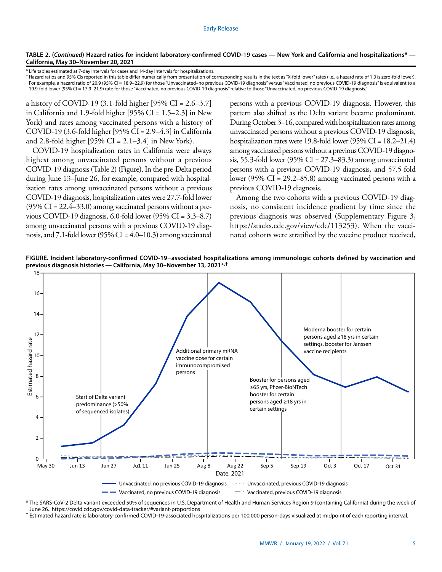## **TABLE 2. (***Continued***) Hazard ratios for incident laboratory-confirmed COVID-19 cases — New York and California and hospitalizations\* — California, May 30–November 20, 2021**

\* Life tables estimated at 7-day intervals for cases and 14-day intervals for hospitalizations.

† Hazard ratios and 95% CIs reported in this table differ numerically from presentation of corresponding results in the text as "X-fold lower" rates (i.e., a hazard rate of 1.0 is zero-fold lower). For example, a hazard ratio of 20.9 (95% CI = 18.9–22.9) for those "Unvaccinated–no previous COVID-19 diagnosis" versus "Vaccinated, no previous COVID-19 diagnosis" is equivalent to a 19.9-fold lower (95% CI = 17.9–21.9) rate for those "Vaccinated, no previous COVID-19 diagnosis" relative to those "Unvaccinated, no previous COVID-19 diagnosis."

a history of COVID-19 (3.1-fold higher [95% CI = 2.6–3.7] in California and 1.9-fold higher [95% CI = 1.5–2.3] in New York) and rates among vaccinated persons with a history of COVID-19 (3.6-fold higher [95% CI = 2.9–4.3] in California and 2.8-fold higher [95% CI =  $2.1-3.4$ ] in New York).

COVID-19 hospitalization rates in California were always highest among unvaccinated persons without a previous COVID-19 diagnosis (Table 2) (Figure). In the pre-Delta period during June 13–June 26, for example, compared with hospitalization rates among unvaccinated persons without a previous COVID-19 diagnosis, hospitalization rates were 27.7-fold lower  $(95\% \text{ CI} = 22.4\text{--}33.0)$  among vaccinated persons without a previous COVID-19 diagnosis, 6.0-fold lower (95% CI = 3.3–8.7) among unvaccinated persons with a previous COVID-19 diagnosis, and 7.1-fold lower (95% CI =  $4.0$ –10.3) among vaccinated persons with a previous COVID-19 diagnosis. However, this pattern also shifted as the Delta variant became predominant. During October 3–16, compared with hospitalization rates among unvaccinated persons without a previous COVID-19 diagnosis, hospitalization rates were 19.8-fold lower (95% CI = 18.2–21.4) among vaccinated persons without a previous COVID-19 diagnosis, 55.3-fold lower (95% CI = 27.3–83.3) among unvaccinated persons with a previous COVID-19 diagnosis, and 57.5-fold lower (95% CI = 29.2–85.8) among vaccinated persons with a previous COVID-19 diagnosis.

Among the two cohorts with a previous COVID-19 diagnosis, no consistent incidence gradient by time since the previous diagnosis was observed (Supplementary Figure 3, <https://stacks.cdc.gov/view/cdc/113253>). When the vaccinated cohorts were stratified by the vaccine product received,

FIGURE. Incident laboratory-confirmed COVID-19–associated hospitalizations among immunologic cohorts defined by vaccination and **previous diagnosis histories — California, May 30–November 13, 2021\*,†** Vaccinated, previous COVID-19 diagnosis Vaccinated, previous COVID-19 diagnosis



\* The SARS-CoV-2 Delta variant exceeded 50% of sequences in U.S. Department of Health and Human Services Region 9 (containing California) during the week of June 26. <https://covid.cdc.gov/covid-data-tracker/#variant-proportions>

† Estimated hazard rate is laboratory-confirmed COVID-19-associated hospitalizations per 100,000 person-days visualized at midpoint of each reporting interval.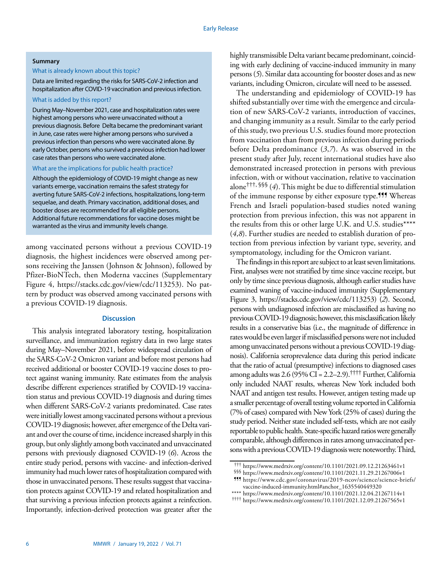#### **Summary**

# What is already known about this topic?

Data are limited regarding the risks for SARS-CoV-2 infection and hospitalization after COVID-19 vaccination and previous infection.

What is added by this report?

During May–November 2021, case and hospitalization rates were highest among persons who were unvaccinated without a previous diagnosis. Before Delta became the predominant variant in June, case rates were higher among persons who survived a previous infection than persons who were vaccinated alone. By early October, persons who survived a previous infection had lower case rates than persons who were vaccinated alone.

#### What are the implications for public health practice?

Although the epidemiology of COVID-19 might change as new variants emerge, vaccination remains the safest strategy for averting future SARS-CoV-2 infections, hospitalizations, long-term sequelae, and death. Primary vaccination, additional doses, and booster doses are recommended for all eligible persons. Additional future recommendations for vaccine doses might be warranted as the virus and immunity levels change.

among vaccinated persons without a previous COVID-19 diagnosis, the highest incidences were observed among persons receiving the Janssen (Johnson & Johnson), followed by Pfizer-BioNTech, then Moderna vaccines (Supplementary Figure 4, <https://stacks.cdc.gov/view/cdc/113253>). No pattern by product was observed among vaccinated persons with a previous COVID-19 diagnosis.

### **Discussion**

This analysis integrated laboratory testing, hospitalization surveillance, and immunization registry data in two large states during May–November 2021, before widespread circulation of the SARS-CoV-2 Omicron variant and before most persons had received additional or booster COVID-19 vaccine doses to protect against waning immunity. Rate estimates from the analysis describe different experiences stratified by COVID-19 vaccination status and previous COVID-19 diagnosis and during times when different SARS-CoV-2 variants predominated. Case rates were initially lowest among vaccinated persons without a previous COVID-19 diagnosis; however, after emergence of the Delta variant and over the course of time, incidence increased sharply in this group, but only slightly among both vaccinated and unvaccinated persons with previously diagnosed COVID-19 (*6*). Across the entire study period, persons with vaccine- and infection-derived immunity had much lower rates of hospitalization compared with those in unvaccinated persons. These results suggest that vaccination protects against COVID-19 and related hospitalization and that surviving a previous infection protects against a reinfection. Importantly, infection-derived protection was greater after the

highly transmissible Delta variant became predominant, coinciding with early declining of vaccine-induced immunity in many persons (*5*). Similar data accounting for booster doses and as new variants, including Omicron, circulate will need to be assessed.

The understanding and epidemiology of COVID-19 has shifted substantially over time with the emergence and circulation of new SARS-CoV-2 variants, introduction of vaccines, and changing immunity as a result. Similar to the early period of this study, two previous U.S. studies found more protection from vaccination than from previous infection during periods before Delta predominance (*3*,*7*). As was observed in the present study after July, recent international studies have also demonstrated increased protection in persons with previous infection, with or without vaccination, relative to vaccination alone†††, §§§ (*4*). This might be due to differential stimulation of the immune response by either exposure type.<sup>111</sup> Whereas French and Israeli population-based studies noted waning protection from previous infection, this was not apparent in the results from this or other large U.K. and U.S. studies\*\*\*\* (*4*,*8*). Further studies are needed to establish duration of protection from previous infection by variant type, severity, and symptomatology, including for the Omicron variant.

The findings in this report are subject to at least seven limitations. First, analyses were not stratified by time since vaccine receipt, but only by time since previous diagnosis, although earlier studies have examined waning of vaccine-induced immunity (Supplementary Figure 3, [https://stacks.cdc.gov/view/cdc/113253\)](https://stacks.cdc.gov/view/cdc/113253) (*2*). Second, persons with undiagnosed infection are misclassified as having no previous COVID-19 diagnosis; however, this misclassification likely results in a conservative bias (i.e., the magnitude of difference in rates would be even larger if misclassified persons were not included among unvaccinated persons without a previous COVID-19 diagnosis). California seroprevalence data during this period indicate that the ratio of actual (presumptive) infections to diagnosed cases among adults was  $2.6$  (95% CI = 2.2–2.9).<sup>††††</sup> Further, California only included NAAT results, whereas New York included both NAAT and antigen test results. However, antigen testing made up a smaller percentage of overall testing volume reported in California (7% of cases) compared with New York (25% of cases) during the study period. Neither state included self-tests, which are not easily reportable to public health. State-specific hazard ratios were generally comparable, although differences in rates among unvaccinated persons with a previous COVID-19 diagnosis were noteworthy. Third,

<sup>†††</sup> <https://www.medrxiv.org/content/10.1101/2021.09.12.21263461v1>

<sup>§§§</sup> <https://www.medrxiv.org/content/10.1101/2021.11.29.21267006v1>

<sup>¶¶¶</sup> [https://www.cdc.gov/coronavirus/2019-ncov/science/science-briefs/](https://www.cdc.gov/coronavirus/2019-ncov/science/science-briefs/vaccine-induced-immunity.html#anchor_1635540449320) [vaccine-induced-immunity.html#anchor\\_1635540449320](https://www.cdc.gov/coronavirus/2019-ncov/science/science-briefs/vaccine-induced-immunity.html#anchor_1635540449320)

<sup>\*\*\*\*</sup> <https://www.medrxiv.org/content/10.1101/2021.12.04.21267114v1>

<sup>††††</sup> <https://www.medrxiv.org/content/10.1101/2021.12.09.21267565v1>